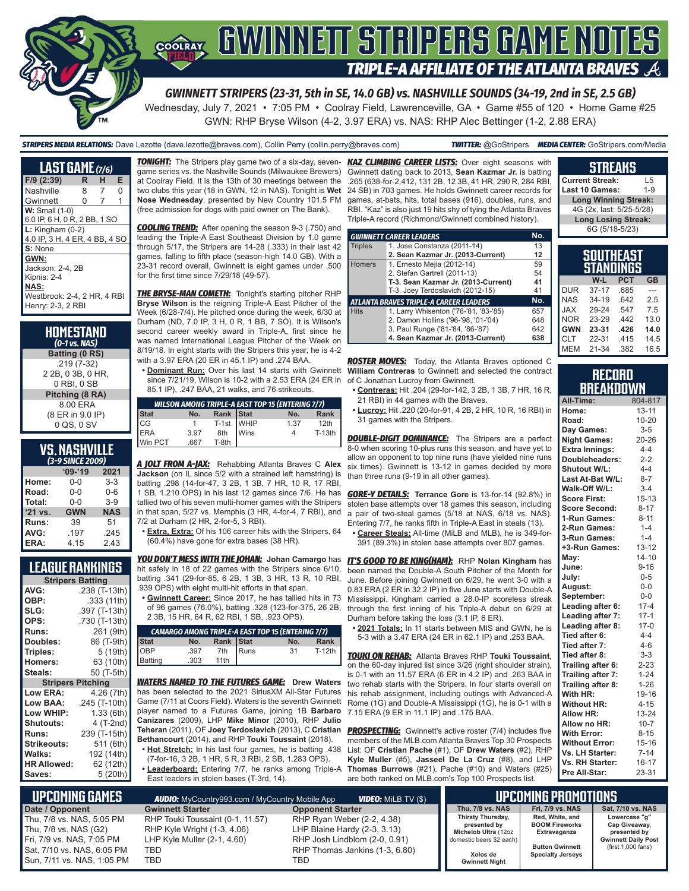

#### **GWINNEIT STRIPERS GAME NOTES** COOLRAY **TRIPLE-A AFFILIATE OF THE ATLANTA BRAVES**

*GWINNETT STRIPERS (23-31, 5th in SE, 14.0 GB) vs. NASHVILLE SOUNDS (34-19, 2nd in SE, 2.5 GB)*

Wednesday, July 7, 2021 • 7:05 PM • Coolray Field, Lawrenceville, GA • Game #55 of 120 • Home Game #25 GWN: RHP Bryse Wilson (4-2, 3.97 ERA) vs. NAS: RHP Alec Bettinger (1-2, 2.88 ERA)

*STRIPERS MEDIA RELATIONS:* Dave Lezotte (dave.lezotte@braves.com), Collin Perry (collin.perry@braves.com) *TWITTER:* @GoStripers *MEDIA CENTER:* GoStripers.com/Media

| LAST GAME (7/6)                                        |   |   |   |
|--------------------------------------------------------|---|---|---|
| F/9 (2:39)                                             | R | н | Е |
| Nashville                                              | 8 | 7 | O |
| Gwinnett                                               | 0 | 7 | 1 |
| $W:$ Small $(1-0)$<br>6.0 IP, 6 H, 0 R, 2 BB, 1 SO     |   |   |   |
| $L:$ Kingham $(0-2)$<br>4.0 IP, 3 H, 4 ER, 4 BB, 4 SO  |   |   |   |
| S: None                                                |   |   |   |
| GWN:<br>Jackson: 2-4. 2B<br>Kipnis: 2-4<br><b>NAS:</b> |   |   |   |
| Westbrook: 2-4, 2 HR, 4 RBI<br>Henry: 2-3, 2 RBI       |   |   |   |

#### **HOMESTAND**  *(0-1 vs. NAS)* **Batting (0 RS)** .219 (7-32) 2 2B, 0 3B, 0 HR, 0 RBI, 0 SB **Pitching (8 RA)**

 8.00 ERA (8 ER in 9.0 IP) 0 QS, 0 SV

# **VS. NASHVILLE**

| (3-9 SINCE 2009) |            |            |  |  |  |  |
|------------------|------------|------------|--|--|--|--|
|                  | $'09-'19$  | 2021       |  |  |  |  |
| Home:            | $0 - 0$    | $3-3$      |  |  |  |  |
| Road:            | $0 - 0$    | $0 - 6$    |  |  |  |  |
| Total:           | $0 - 0$    | $3-9$      |  |  |  |  |
| '21 vs.          | <b>GWN</b> | <b>NAS</b> |  |  |  |  |
| Runs:            | 39         | 51         |  |  |  |  |
| AVG:             | .197       | .245       |  |  |  |  |
| ERA:             | 4.15       | 2.43       |  |  |  |  |

#### **LEAGUE RANKINGS**

|                          | <b>Stripers Batting</b> |
|--------------------------|-------------------------|
| AVG:                     | .238 (T-13th)           |
| OBP:                     | .333 (11th)             |
| SLG:                     | .397 (T-13th)           |
| OPS:                     | .730 (T-13th)           |
| <b>Runs:</b>             | 261 (9th)               |
| Doubles:                 | 86 (T-9th)              |
| Triples:                 | 5 (19th)                |
| <b>Homers:</b>           | 63 (10th)               |
| Steals:                  | 50 (T-5th)              |
|                          |                         |
| <b>Stripers Pitching</b> |                         |
| <b>Low ERA:</b>          | 4.26 (7th)              |
| Low BAA:                 | .245 (T-10th)           |
| Low WHIP:                | 1.33(6th)               |
| <b>Shutouts:</b>         | 4 (T-2nd)               |
| <b>Runs:</b>             | 239 (T-15th)            |
| <b>Strikeouts:</b>       | 511 (6th)               |
| Walks:                   | 192 (14th)              |
| <b>HR Allowed:</b>       | 62 (12th)               |

*TONIGHT:* The Stripers play game two of a six-day, sevengame series vs. the Nashville Sounds (Milwaukee Brewers) at Coolray Field. It is the 13th of 30 meetings between the two clubs this year (18 in GWN, 12 in NAS). Tonight is **Wet Nose Wednesday**, presented by New Country 101.5 FM (free admission for dogs with paid owner on The Bank).

*COOLING TREND:* After opening the season 9-3 (.750) and leading the Triple-A East Southeast Division by 1.0 game through 5/17, the Stripers are 14-28 (.333) in their last 42 games, falling to fifth place (season-high 14.0 GB). With a 23-31 record overall, Gwinnett is eight games under .500 for the first time since 7/29/18 (49-57).

**THE BRYSE-MAN COMETH:** Tonight's starting pitcher RHP **Bryse Wilson** is the reigning Triple-A East Pitcher of the Week (6/28-7/4). He pitched once during the week, 6/30 at Durham (ND, 7.0 IP, 3 H, 0 R, 1 BB, 7 SO). It is Wilson's second career weekly award in Triple-A, first since he was named International League Pitcher of the Week on 8/19/18. In eight starts with the Stripers this year, he is 4-2 with a 3.97 ERA (20 ER in 45.1 IP) and .274 BAA.

since 7/21/19, Wilson is 10-2 with a 2.53 ERA (24 ER in 85.1 IP), .247 BAA, 21 walks, and 76 strikeouts.

|                              |      |                        | <b>WILSON AMONG TRIPLE-A EAST TOP 15 (ENTERING 7/7)</b> |        |
|------------------------------|------|------------------------|---------------------------------------------------------|--------|
| Stat<br>CG<br>ERA<br>Win PCT | No.  | Rank Stat              | No.                                                     | Rank   |
|                              |      |                        | 1.37                                                    | 12th   |
|                              | 3.97 | T-1st WHIP<br>8th Wins |                                                         | T-13th |
|                              | .667 | T-8th                  |                                                         |        |

*A JOLT FROM A-JAX:* Rehabbing Atlanta Braves C **Alex Jackson** (on IL since 5/2 with a strained left hamstring) is batting .298 (14-for-47, 3 2B, 1 3B, 7 HR, 10 R, 17 RBI, 1 SB, 1.210 OPS) in his last 12 games since 7/6. He has tallied two of his seven multi-homer games with the Stripers in that span, 5/27 vs. Memphis (3 HR, 4-for-4, 7 RBI), and 7/2 at Durham (2 HR, 2-for-5, 3 RBI).

**• Extra, Extra:** Of his 106 career hits with the Stripers, 64 (60.4%) have gone for extra bases (38 HR).

*YOU DON'T MESS WITH THE JOHAN:* **Johan Camargo** has hit safely in 18 of 22 games with the Stripers since 6/10, batting .341 (29-for-85, 6 2B, 1 3B, 3 HR, 13 R, 10 RBI, .939 OPS) with eight multi-hit efforts in that span.

**• Gwinnett Career:** Since 2017, he has tallied hits in 73 of 96 games (76.0%), batting .328 (123-for-375, 26 2B, 2 3B, 15 HR, 64 R, 62 RBI, 1 SB, .923 OPS).

|                |      |           |             | <b>CAMARGO AMONG TRIPLE-A EAST TOP 15 (ENTERING 7/7)</b> |          |
|----------------|------|-----------|-------------|----------------------------------------------------------|----------|
| Stat           | No.  | Rank Stat |             | No.                                                      | Rank     |
| OBP<br>Batting | .397 | 7th       | <b>Runs</b> | 31                                                       | $T-12th$ |
|                | .303 | 11th      |             |                                                          |          |

*WATERS NAMED TO THE FUTURES GAME:* **Drew Waters** has been selected to the 2021 SiriusXM All-Star Futures Game (7/11 at Coors Field). Waters is the seventh Gwinnett player named to a Futures Game, joining 1B **Barbaro Canizares** (2009), LHP **Mike Minor** (2010), RHP **Julio Teheran** (2011), OF **Joey Terdoslavich** (2013), C **Cristian Bethancourt** (2014), and RHP **Touki Toussaint** (2018).

- **• Hot Stretch:** In his last four games, he is batting .438 (7-for-16, 3 2B, 1 HR, 5 R, 3 RBI, 2 SB, 1.283 OPS).
- **• Leaderboard:** Entering 7/7, he ranks among Triple-A East leaders in stolen bases (T-3rd, 14).

*KAZ CLIMBING CAREER LISTS:* Over eight seasons with Gwinnett dating back to 2013, **Sean Kazmar Jr.** is batting .265 (638-for-2,412, 131 2B, 12 3B, 41 HR, 290 R, 284 RBI, 24 SB) in 703 games. He holds Gwinnett career records for games, at-bats, hits, total bases (916), doubles, runs, and RBI. "Kaz" is also just 19 hits shy of tying the Atlanta Braves Triple-A record (Richmond/Gwinnett combined history).

|                | <b>GWINNETT CAREER LEADERS</b>                | No. |
|----------------|-----------------------------------------------|-----|
| <b>Triples</b> | 1. Jose Constanza (2011-14)                   | 13  |
|                | 2. Sean Kazmar Jr. (2013-Current)             | 12  |
| <b>Homers</b>  | 1. Ernesto Mejia (2012-14)                    | 59  |
|                | 2. Stefan Gartrell (2011-13)                  | 54  |
|                | T-3. Sean Kazmar Jr. (2013-Current)           | 41  |
|                | T-3. Joey Terdoslavich (2012-15)              | 41  |
|                | <b>ATLANTA BRAVES TRIPLE-A CAREER LEADERS</b> | No. |
| <b>Hits</b>    | 1. Larry Whisenton ('76-'81, '83-'85)         | 657 |
|                | 2. Damon Hollins ('96-'98, '01-'04)           | 648 |
|                | 3. Paul Runge ('81-'84, '86-'87)              | 642 |
|                | 4. Sean Kazmar Jr. (2013-Current)             | 638 |

**• Dominant Run:** Over his last 14 starts with Gwinnett **William Contreras** to Gwinnett and selected the contract *ROSTER MOVES:* Today, the Atlanta Braves optioned C of C Jonathan Lucroy from Gwinnett.

- **• Contreras:** Hit .204 (29-for-142, 3 2B, 1 3B, 7 HR, 16 R, 21 RBI) in 44 games with the Braves.
- **• Lucroy:** Hit .220 (20-for-91, 4 2B, 2 HR, 10 R, 16 RBI) in 31 games with the Stripers.

**DOUBLE-DIGIT DOMINANCE:** The Stripers are a perfect 8-0 when scoring 10-plus runs this season, and have yet to allow an opponent to top nine runs (have yielded nine runs six times). Gwinnett is 13-12 in games decided by more than three runs (9-19 in all other games).

*GORE-Y DETAILS:* **Terrance Gore** is 13-for-14 (92.8%) in stolen base attempts over 18 games this season, including a pair of two-steal games (5/18 at NAS, 6/18 vs. NAS). Entering 7/7, he ranks fifth in Triple-A East in steals (13).

**• Career Steals:** All-time (MiLB and MLB), he is 349-for-391 (89.3%) in stolen base attempts over 807 games.

*IT'S GOOD TO BE KING(HAM):* RHP Nolan Kingham has been named the Double-A South Pitcher of the Month for June. Before joining Gwinnett on 6/29, he went 3-0 with a 0.83 ERA (2 ER in 32.2 IP) in five June starts with Double-A Mississippi. Kingham carried a 28.0-IP scoreless streak through the first inning of his Triple-A debut on 6/29 at Durham before taking the loss (3.1 IP, 6 ER).

**• 2021 Totals:** In 11 starts between MIS and GWN, he is 5-3 with a 3.47 ERA (24 ER in 62.1 IP) and .253 BAA.

*TOUKI ON REHAB:* Atlanta Braves RHP **Touki Toussaint**, on the 60-day injured list since 3/26 (right shoulder strain), is 0-1 with an 11.57 ERA (6 ER in 4.2 IP) and .263 BAA in two rehab starts with the Stripers. In four starts overall on his rehab assignment, including outings with Advanced-A Rome (1G) and Double-A Mississippi (1G), he is 0-1 with a 7.15 ERA (9 ER in 11.1 IP) and .175 BAA.

**PROSPECTING:** Gwinnett's active roster (7/4) includes five members of the MLB.com Atlanta Braves Top 30 Prospects List: OF **Cristian Pache** (#1), OF **Drew Waters** (#2), RHP **Kyle Muller** (#5), **Jasseel De La Cruz** (#8), and LHP **Thomas Burrows** (#21). Pache (#10) and Waters (#25) are both ranked on MLB.com's Top 100 Prospects list.

| <b>Current Streak:</b>      | ۱.5     |  |  |
|-----------------------------|---------|--|--|
| Last 10 Games:              | $1 - 9$ |  |  |
| <b>Long Winning Streak:</b> |         |  |  |
| 4G (2x, last: 5/25-5/28)    |         |  |  |
| <b>Long Losing Streak:</b>  |         |  |  |
| 6G (5/18-5/23)              |         |  |  |
|                             |         |  |  |
|                             |         |  |  |

**STREAKS**

|            | ו בAוזווטש<br>STANDINGS |            |           |
|------------|-------------------------|------------|-----------|
|            | W-L                     | <b>PCT</b> | <b>GB</b> |
| <b>DUR</b> | $37 - 17$               | .685       |           |
| <b>NAS</b> | $34 - 19$               | .642       | 2.5       |
| <b>XAL</b> | 29-24                   | .547       | 7.5       |
| <b>NOR</b> | 23-29                   | 442        | 13.0      |
| <b>GWN</b> | 23-31                   | .426       | 14.0      |
| <b>CLT</b> | 22-31                   | .415       | 14.5      |
| <b>MEM</b> | $21 - 34$               | .382       | 16.5      |

#### **RECORD BREAKDOWN**

| <u> 21 1 21 1 1 1 2</u> | ---       |
|-------------------------|-----------|
| All-Time:               | 804-817   |
| Home:                   | $13 - 11$ |
| Road:                   | 10-20     |
| Day Games:              | $3 - 5$   |
| <b>Night Games:</b>     | 20-26     |
| <b>Extra Innings:</b>   | $4 - 4$   |
| Doubleheaders:          | $2 - 2$   |
| <b>Shutout W/L:</b>     | $4 - 4$   |
| Last At-Bat W/L:        | $8 - 7$   |
| Walk-Off W/L:           | $3 - 4$   |
| <b>Score First:</b>     | $15 - 13$ |
| <b>Score Second:</b>    | $8 - 17$  |
| 1-Run Games:            | $8 - 11$  |
| 2-Run Games:            | $1 - 4$   |
| 3-Run Games:            | $1 - 4$   |
| +3-Run Games:           | $13 - 12$ |
| May:                    | $14 - 10$ |
| June:                   | $9 - 16$  |
| July:                   | $0 - 5$   |
| August:                 | $0-0$     |
| September:              | $0-0$     |
| Leading after 6:        | $17 - 4$  |
| Leading after 7:        | $17 - 1$  |
| Leading after 8:        | $17-0$    |
| Tied after 6:           | $4 - 4$   |
| Tied after 7:           | $4 - 6$   |
| Tied after 8:           | $3 - 3$   |
| Trailing after 6:       | $2 - 23$  |
| Trailing after 7:       | $1 - 24$  |
| Trailing after 8:       | $1 - 26$  |
| With HR:                | 19-16     |
| <b>Without HR:</b>      | $4 - 15$  |
| <b>Allow HR:</b>        | 13-24     |
| Allow no HR:            | $10 - 7$  |
| <b>With Error:</b>      | $8 - 15$  |
| <b>Without Error:</b>   | $15 - 16$ |
| Vs. LH Starter:         | $7 - 14$  |
| Vs. RH Starter:         | $16 - 17$ |
| Pre All-Star:           | 23-31     |

| L UPCOMING GAMES I                                                                                                                               | <b>AUDIO:</b> MyCountry993.com / MyCountry Mobile App                                                           | <b>VIDEO:</b> MiLB.TV (\$)                                                                                                           |                                                                                                                            | LIPCOMING PROMOTIONS                                                                                           |                                                                                                    |
|--------------------------------------------------------------------------------------------------------------------------------------------------|-----------------------------------------------------------------------------------------------------------------|--------------------------------------------------------------------------------------------------------------------------------------|----------------------------------------------------------------------------------------------------------------------------|----------------------------------------------------------------------------------------------------------------|----------------------------------------------------------------------------------------------------|
| Date / Opponent                                                                                                                                  | <b>Gwinnett Starter</b>                                                                                         | <b>Opponent Starter</b>                                                                                                              | Thu. 7/8 vs. NAS                                                                                                           | Fri. 7/9 vs. NAS                                                                                               | Sat. 7/10 vs. NAS                                                                                  |
| Thu, 7/8 vs. NAS, 5:05 PM<br>Thu, $7/8$ vs. NAS $(G2)$<br>Fri, 7/9 vs. NAS, 7:05 PM<br>Bat, 7/10 vs. NAS, 6:05 PM<br>∎Sun. 7/11 vs. NAS. 1:05 PM | RHP Touki Toussaint (0-1, 11.57)<br>RHP Kyle Wright (1-3, 4.06)<br>LHP Kyle Muller $(2-1, 4.60)$<br>TBD<br>TBD. | RHP Ryan Weber (2-2, 4.38)<br>LHP Blaine Hardy (2-3, 3.13)<br>RHP Josh Lindblom (2-0, 0.91)<br>RHP Thomas Jankins (1-3, 6.80)<br>TBD | Thirsty Thursday,<br>presented by<br>Michelob Ultra (12oz<br>domestic beers \$2 each)<br>Xolos de<br><b>Gwinnett Night</b> | Red, White, and<br><b>BOOM Fireworks</b><br>Extravaganza<br><b>Button Gwinnett</b><br><b>Specialty Jerseys</b> | Lowercase "g"<br>Cap Giveaway,<br>presented by<br><b>Gwinnett Daily Post</b><br>(first 1,000 fans) |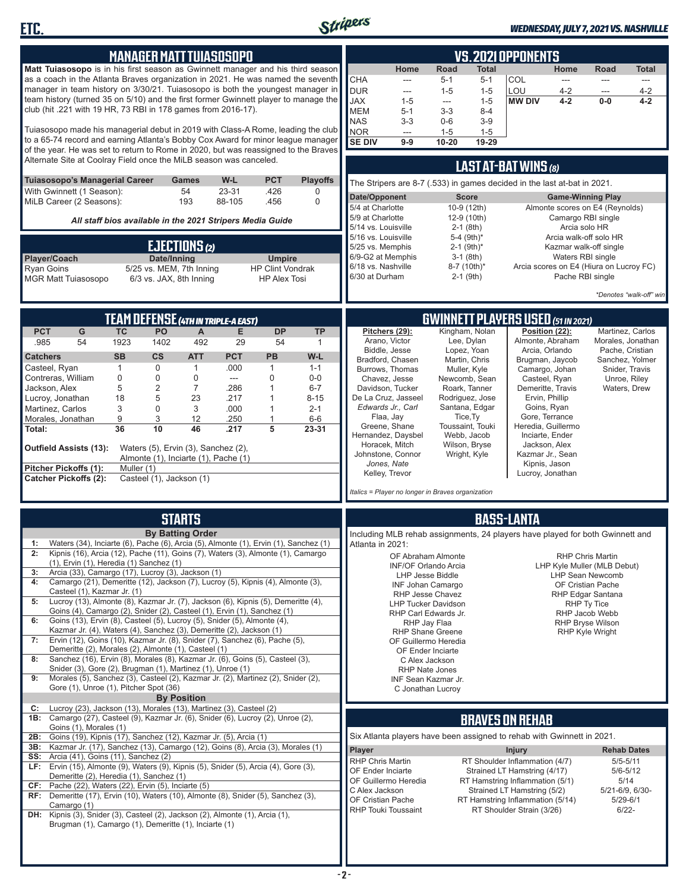

**ETC.**

#### *WEDNESDAY, JULY 7, 2021 VS. NASHVILLE*

|                                                                                                                                                                    |            | <b>MANAGER MATT TUIASOSOPO</b>          |                         |                                                           |                                          |                           |                                       |                                                                               |                  |                                         | <b>VS.2021 OPPONENTS</b>                                        |                                      |                                                        |                                       |
|--------------------------------------------------------------------------------------------------------------------------------------------------------------------|------------|-----------------------------------------|-------------------------|-----------------------------------------------------------|------------------------------------------|---------------------------|---------------------------------------|-------------------------------------------------------------------------------|------------------|-----------------------------------------|-----------------------------------------------------------------|--------------------------------------|--------------------------------------------------------|---------------------------------------|
| Matt Tuiasosopo is in his first season as Gwinnett manager and his third season                                                                                    |            |                                         |                         |                                                           |                                          |                           |                                       | Home                                                                          | Road             | Total                                   |                                                                 | Home                                 | Road                                                   | <b>Total</b>                          |
| as a coach in the Atlanta Braves organization in 2021. He was named the seventh                                                                                    |            |                                         |                         |                                                           |                                          |                           | <b>CHA</b>                            | ---                                                                           | $5 - 1$          | $5 - 1$                                 | COL                                                             | $---$                                | $\sim$                                                 | $---$                                 |
| manager in team history on 3/30/21. Tuiasosopo is both the youngest manager in                                                                                     |            |                                         |                         |                                                           |                                          |                           | <b>DUR</b>                            | ---                                                                           | $1 - 5$          | $1 - 5$                                 | LOU                                                             | $4 - 2$                              | ---                                                    | $4 - 2$                               |
| team history (turned 35 on 5/10) and the first former Gwinnett player to manage the<br>club (hit .221 with 19 HR, 73 RBI in 178 games from 2016-17).               |            |                                         |                         |                                                           |                                          |                           | <b>JAX</b>                            | $1 - 5$                                                                       | $\overline{a}$   | $1 - 5$                                 | <b>MW DIV</b>                                                   | $4 - 2$                              | $0-0$                                                  | $4 - 2$                               |
|                                                                                                                                                                    |            |                                         |                         |                                                           |                                          |                           | <b>MEM</b><br><b>NAS</b>              | $5 - 1$<br>$3 - 3$                                                            | $3-3$<br>$0 - 6$ | $8 - 4$<br>$3-9$                        |                                                                 |                                      |                                                        |                                       |
| Tuiasosopo made his managerial debut in 2019 with Class-A Rome, leading the club                                                                                   |            |                                         |                         |                                                           |                                          |                           | <b>NOR</b>                            | $\frac{1}{2}$                                                                 | $1 - 5$          | $1 - 5$                                 |                                                                 |                                      |                                                        |                                       |
| to a 65-74 record and earning Atlanta's Bobby Cox Award for minor league manager                                                                                   |            |                                         |                         |                                                           |                                          |                           | <b>SE DIV</b>                         | $9-9$                                                                         | 10-20            | 19-29                                   |                                                                 |                                      |                                                        |                                       |
| of the year. He was set to return to Rome in 2020, but was reassigned to the Braves                                                                                |            |                                         |                         |                                                           |                                          |                           |                                       |                                                                               |                  |                                         |                                                                 |                                      |                                                        |                                       |
| Alternate Site at Coolray Field once the MiLB season was canceled.                                                                                                 |            |                                         |                         |                                                           |                                          |                           |                                       |                                                                               |                  |                                         | <b>LAST AT-BAT WINS (8)</b>                                     |                                      |                                                        |                                       |
| Tuiasosopo's Managerial Career                                                                                                                                     |            |                                         | Games                   | W-L                                                       | <b>PCT</b>                               | <b>Playoffs</b>           |                                       | The Stripers are 8-7 (.533) in games decided in the last at-bat in 2021.      |                  |                                         |                                                                 |                                      |                                                        |                                       |
| With Gwinnett (1 Season):                                                                                                                                          |            |                                         | 54                      | 23-31                                                     | .426                                     | 0                         |                                       |                                                                               |                  |                                         |                                                                 | <b>Game-Winning Play</b>             |                                                        |                                       |
| MiLB Career (2 Seasons):                                                                                                                                           |            |                                         | 193                     | 88-105                                                    | .456                                     | $\mathbf 0$               | Date/Opponent<br>5/4 at Charlotte     |                                                                               |                  | <b>Score</b><br>10-9 (12th)             |                                                                 |                                      | Almonte scores on E4 (Reynolds)                        |                                       |
|                                                                                                                                                                    |            |                                         |                         | All staff bios available in the 2021 Stripers Media Guide |                                          |                           | 5/9 at Charlotte                      |                                                                               |                  | 12-9 (10th)                             |                                                                 | Camargo RBI single                   |                                                        |                                       |
|                                                                                                                                                                    |            |                                         |                         |                                                           |                                          |                           | 5/14 vs. Louisville                   |                                                                               |                  | $2-1$ (8th)                             |                                                                 | Arcia solo HR                        |                                                        |                                       |
|                                                                                                                                                                    |            |                                         |                         |                                                           |                                          |                           | 5/16 vs. Louisville                   |                                                                               |                  | 5-4 (9th)*                              |                                                                 |                                      | Arcia walk-off solo HR                                 |                                       |
|                                                                                                                                                                    |            |                                         | EJECTIONS (2)           |                                                           |                                          |                           | 5/25 vs. Memphis<br>6/9-G2 at Memphis |                                                                               |                  | $2-1$ (9th) <sup>*</sup><br>$3-1$ (8th) |                                                                 | Waters RBI single                    | Kazmar walk-off single                                 |                                       |
| Player/Coach<br>Ryan Goins                                                                                                                                         |            | Date/Inning<br>5/25 vs. MEM, 7th Inning |                         |                                                           | <b>Umpire</b><br><b>HP Clint Vondrak</b> |                           | 6/18 vs. Nashville                    |                                                                               |                  | 8-7 (10th)*                             |                                                                 |                                      | Arcia scores on E4 (Hiura on Lucroy FC)                |                                       |
| <b>MGR Matt Tuiasosopo</b>                                                                                                                                         |            | 6/3 vs. JAX, 8th Inning                 |                         |                                                           | <b>HP Alex Tosi</b>                      |                           | 6/30 at Durham                        |                                                                               |                  | 2-1 (9th)                               |                                                                 | Pache RBI single                     |                                                        |                                       |
|                                                                                                                                                                    |            |                                         |                         |                                                           |                                          |                           |                                       |                                                                               |                  |                                         |                                                                 |                                      |                                                        |                                       |
|                                                                                                                                                                    |            |                                         |                         |                                                           |                                          |                           |                                       |                                                                               |                  |                                         |                                                                 |                                      |                                                        | *Denotes "walk-off" win               |
|                                                                                                                                                                    |            |                                         |                         |                                                           |                                          |                           |                                       |                                                                               |                  |                                         | <b>GWINNETT PLAYERS USED (51 IN 2021)</b>                       |                                      |                                                        |                                       |
|                                                                                                                                                                    | <b>TC</b>  |                                         |                         | <b>TEAM DEFENSE (4TH IN TRIPLE-A EAST)</b>                |                                          |                           |                                       | Pitchers (29):                                                                |                  | Kingham, Nolan                          |                                                                 |                                      |                                                        |                                       |
| <b>PCT</b><br>G<br>.985<br>54                                                                                                                                      | 1923       | PO<br>1402                              | A<br>492                | E.<br>29                                                  | <b>DP</b><br>54                          | <b>TP</b><br>$\mathbf{1}$ |                                       | Arano, Victor                                                                 |                  | Lee, Dylan                              |                                                                 | Position (22):<br>Almonte, Abraham   |                                                        | Martinez, Carlos<br>Morales, Jonathan |
|                                                                                                                                                                    |            |                                         |                         |                                                           |                                          |                           |                                       | Biddle, Jesse                                                                 |                  | Lopez, Yoan                             |                                                                 | Arcia, Orlando                       |                                                        | Pache, Cristian                       |
| Catchers<br>Casteel, Ryan                                                                                                                                          | <b>SB</b>  | $\mathsf{cs}$<br>0                      | <b>ATT</b>              | <b>PCT</b><br>.000                                        | <b>PB</b>                                | W-L                       |                                       | Bradford, Chasen                                                              |                  | Martin, Chris                           |                                                                 | Brugman, Jaycob                      |                                                        | Sanchez, Yolmer                       |
| Contreras, William                                                                                                                                                 | 1<br>0     | 0                                       | $\mathbf{1}$<br>0       | ---                                                       | 1<br>$\Omega$                            | $1 - 1$<br>$0-0$          |                                       | Burrows, Thomas<br>Chavez, Jesse                                              |                  | Muller, Kyle<br>Newcomb, Sean           |                                                                 | Camargo, Johan<br>Casteel, Ryan      | Snider, Travis                                         | Unroe, Riley                          |
| Jackson, Alex                                                                                                                                                      | 5          | $\overline{2}$                          | 7                       | .286                                                      |                                          | $6-7$                     |                                       | Davidson, Tucker                                                              |                  | Roark, Tanner                           |                                                                 | Demeritte, Travis                    |                                                        | Waters, Drew                          |
| Lucroy, Jonathan                                                                                                                                                   | 18         | 5                                       | 23                      | .217                                                      |                                          | $8 - 15$                  |                                       | De La Cruz, Jasseel                                                           |                  | Rodriguez, Jose                         |                                                                 | Ervin, Phillip                       |                                                        |                                       |
| Martinez, Carlos                                                                                                                                                   | 3          | 0                                       | 3                       | .000                                                      | 1                                        | $2 - 1$                   |                                       | Edwards Jr., Carl                                                             |                  | Santana, Edgar                          |                                                                 | Goins, Ryan                          |                                                        |                                       |
| Morales, Jonathan                                                                                                                                                  | 9          | 3                                       | 12                      | .250                                                      | $\mathbf{1}$                             | $6-6$                     |                                       | Flaa, Jay<br>Greene, Shane                                                    |                  | Tice, Ty<br>Toussaint, Touki            |                                                                 | Gore, Terrance<br>Heredia, Guillermo |                                                        |                                       |
| Total:                                                                                                                                                             | 36         | 10                                      | 46                      | .217                                                      | 5                                        | 23-31                     |                                       | Hernandez, Daysbel                                                            |                  | Webb, Jacob                             |                                                                 | Inciarte, Ender                      |                                                        |                                       |
| Outfield Assists (13):                                                                                                                                             |            | Waters (5), Ervin (3), Sanchez (2),     |                         |                                                           |                                          |                           |                                       | Horacek, Mitch                                                                |                  | Wilson, Bryse                           |                                                                 | Jackson, Alex                        |                                                        |                                       |
|                                                                                                                                                                    |            | Almonte (1), Inciarte (1), Pache (1)    |                         |                                                           |                                          |                           |                                       | Johnstone, Connor                                                             |                  | Wright, Kyle                            |                                                                 | Kazmar Jr., Sean                     |                                                        |                                       |
| Pitcher Pickoffs (1):                                                                                                                                              | Muller (1) |                                         |                         |                                                           |                                          |                           |                                       | Jones, Nate<br>Kelley, Trevor                                                 |                  |                                         |                                                                 | Kipnis, Jason<br>Lucroy, Jonathan    |                                                        |                                       |
| <b>Catcher Pickoffs (2):</b>                                                                                                                                       |            | Casteel (1), Jackson (1)                |                         |                                                           |                                          |                           |                                       |                                                                               |                  |                                         |                                                                 |                                      |                                                        |                                       |
|                                                                                                                                                                    |            |                                         |                         |                                                           |                                          |                           |                                       | Italics = Player no longer in Braves organization                             |                  |                                         |                                                                 |                                      |                                                        |                                       |
|                                                                                                                                                                    |            |                                         |                         |                                                           |                                          |                           |                                       |                                                                               |                  |                                         |                                                                 |                                      |                                                        |                                       |
|                                                                                                                                                                    |            |                                         | <b>STARTS</b>           |                                                           |                                          |                           |                                       |                                                                               |                  |                                         | <b>BASS-LANTA</b>                                               |                                      |                                                        |                                       |
|                                                                                                                                                                    |            |                                         | <b>By Batting Order</b> |                                                           |                                          |                           |                                       | Including MLB rehab assignments, 24 players have played for both Gwinnett and |                  |                                         |                                                                 |                                      |                                                        |                                       |
| Waters (34), Inciarte (6), Pache (6), Arcia (5), Almonte (1), Ervin (1), Sanchez (1)<br>1:                                                                         |            |                                         |                         |                                                           |                                          |                           | Atlanta in 2021:                      |                                                                               |                  |                                         |                                                                 |                                      |                                                        |                                       |
| 2:<br>Kipnis (16), Arcia (12), Pache (11), Goins (7), Waters (3), Almonte (1), Camargo<br>$(1)$ , Ervin $(1)$ , Heredia $(1)$ Sanchez $(1)$                        |            |                                         |                         |                                                           |                                          |                           |                                       | OF Abraham Almonte                                                            |                  |                                         |                                                                 |                                      | RHP Chris Martin                                       |                                       |
| Arcia (33), Camargo (17), Lucroy (3), Jackson (1)<br>3:                                                                                                            |            |                                         |                         |                                                           |                                          |                           |                                       | <b>INF/OF Orlando Arcia</b><br><b>LHP Jesse Biddle</b>                        |                  |                                         |                                                                 |                                      | LHP Kyle Muller (MLB Debut)<br><b>LHP Sean Newcomb</b> |                                       |
| Camargo (21), Demeritte (12), Jackson (7), Lucroy (5), Kipnis (4), Almonte (3),<br>4:                                                                              |            |                                         |                         |                                                           |                                          |                           |                                       | <b>INF Johan Camargo</b>                                                      |                  |                                         |                                                                 |                                      | OF Cristian Pache                                      |                                       |
| Casteel (1), Kazmar Jr. (1)                                                                                                                                        |            |                                         |                         |                                                           |                                          |                           |                                       | RHP Jesse Chavez                                                              |                  |                                         |                                                                 |                                      | <b>RHP Edgar Santana</b>                               |                                       |
| Lucroy (13), Almonte (8), Kazmar Jr. (7), Jackson (6), Kipnis (5), Demeritte (4),<br>5:<br>Goins (4), Camargo (2), Snider (2), Casteel (1), Ervin (1), Sanchez (1) |            |                                         |                         |                                                           |                                          |                           |                                       | <b>LHP Tucker Davidson</b>                                                    |                  |                                         |                                                                 |                                      | RHP Ty Tice                                            |                                       |
| Goins (13), Ervin (8), Casteel (5), Lucroy (5), Snider (5), Almonte (4),<br>6:                                                                                     |            |                                         |                         |                                                           |                                          |                           |                                       | RHP Carl Edwards Jr.<br>RHP Jay Flaa                                          |                  |                                         |                                                                 |                                      | RHP Jacob Webb<br><b>RHP Bryse Wilson</b>              |                                       |
| Kazmar Jr. (4), Waters (4), Sanchez (3), Demeritte (2), Jackson (1)                                                                                                |            |                                         |                         |                                                           |                                          |                           |                                       | <b>RHP Shane Greene</b>                                                       |                  |                                         |                                                                 |                                      | <b>RHP Kyle Wright</b>                                 |                                       |
| Ervin (12), Goins (10), Kazmar Jr. (8), Snider (7), Sanchez (6), Pache (5),<br>7:                                                                                  |            |                                         |                         |                                                           |                                          |                           |                                       | OF Guillermo Heredia                                                          |                  |                                         |                                                                 |                                      |                                                        |                                       |
| Demeritte (2), Morales (2), Almonte (1), Casteel (1)<br>Sanchez (16), Ervin (8), Morales (8), Kazmar Jr. (6), Goins (5), Casteel (3),<br>8:                        |            |                                         |                         |                                                           |                                          |                           |                                       | OF Ender Inciarte<br>C Alex Jackson                                           |                  |                                         |                                                                 |                                      |                                                        |                                       |
| Snider (3), Gore (2), Brugman (1), Martinez (1), Unroe (1)                                                                                                         |            |                                         |                         |                                                           |                                          |                           |                                       | <b>RHP Nate Jones</b>                                                         |                  |                                         |                                                                 |                                      |                                                        |                                       |
| Morales (5), Sanchez (3), Casteel (2), Kazmar Jr. (2), Martinez (2), Snider (2),<br>9:                                                                             |            |                                         |                         |                                                           |                                          |                           |                                       | INF Sean Kazmar Jr.                                                           |                  |                                         |                                                                 |                                      |                                                        |                                       |
| Gore (1), Unroe (1), Pitcher Spot (36)                                                                                                                             |            |                                         | <b>By Position</b>      |                                                           |                                          |                           |                                       | C Jonathan Lucroy                                                             |                  |                                         |                                                                 |                                      |                                                        |                                       |
| Lucroy (23), Jackson (13), Morales (13), Martinez (3), Casteel (2)<br>C:                                                                                           |            |                                         |                         |                                                           |                                          |                           |                                       |                                                                               |                  |                                         |                                                                 |                                      |                                                        |                                       |
| <b>1B:</b> Camargo (27), Casteel (9), Kazmar Jr. (6), Snider (6), Lucroy (2), Unroe (2),                                                                           |            |                                         |                         |                                                           |                                          |                           |                                       |                                                                               |                  |                                         | <b>BRAVES ON REHAB</b>                                          |                                      |                                                        |                                       |
| Goins (1), Morales (1)                                                                                                                                             |            |                                         |                         |                                                           |                                          |                           |                                       |                                                                               |                  |                                         |                                                                 |                                      |                                                        |                                       |
| 2B: Goins (19), Kipnis (17), Sanchez (12), Kazmar Jr. (5), Arcia (1)                                                                                               |            |                                         |                         |                                                           |                                          |                           |                                       | Six Atlanta players have been assigned to rehab with Gwinnett in 2021.        |                  |                                         |                                                                 |                                      |                                                        |                                       |
| 3B: Kazmar Jr. (17), Sanchez (13), Camargo (12), Goins (8), Arcia (3), Morales (1)<br><b>SS:</b> Arcia (41), Goins (11), Sanchez (2)                               |            |                                         |                         |                                                           |                                          |                           | <b>Player</b>                         |                                                                               |                  |                                         | <b>Injury</b>                                                   |                                      | <b>Rehab Dates</b>                                     |                                       |
| LF: Ervin (15), Almonte (9), Waters (9), Kipnis (5), Snider (5), Arcia (4), Gore (3),                                                                              |            |                                         |                         |                                                           |                                          |                           | RHP Chris Martin                      |                                                                               |                  |                                         | RT Shoulder Inflammation (4/7)                                  |                                      | $5/5 - 5/11$                                           |                                       |
| Demeritte (2), Heredia (1), Sanchez (1)                                                                                                                            |            |                                         |                         |                                                           |                                          |                           | OF Ender Inciarte                     | OF Guillermo Heredia                                                          |                  |                                         | Strained LT Hamstring (4/17)<br>RT Hamstring Inflammation (5/1) |                                      | $5/6 - 5/12$<br>5/14                                   |                                       |
| $CF:$ Pache (22), Waters (22), Ervin (5), Inciarte (5)                                                                                                             |            |                                         |                         |                                                           |                                          |                           | C Alex Jackson                        |                                                                               |                  |                                         | Strained LT Hamstring (5/2)                                     |                                      | 5/21-6/9, 6/30-                                        |                                       |
| RF: Demeritte (17), Ervin (10), Waters (10), Almonte (8), Snider (5), Sanchez (3),                                                                                 |            |                                         |                         |                                                           |                                          |                           | OF Cristian Pache                     |                                                                               |                  |                                         | RT Hamstring Inflammation (5/14)                                |                                      | $5/29 - 6/1$                                           |                                       |
| Camargo (1)<br>DH: Kipnis (3), Snider (3), Casteel (2), Jackson (2), Almonte (1), Arcia (1),                                                                       |            |                                         |                         |                                                           |                                          |                           |                                       | RHP Touki Toussaint                                                           |                  |                                         | RT Shoulder Strain (3/26)                                       |                                      | $6/22 -$                                               |                                       |
| Brugman (1), Camargo (1), Demeritte (1), Inciarte (1)                                                                                                              |            |                                         |                         |                                                           |                                          |                           |                                       |                                                                               |                  |                                         |                                                                 |                                      |                                                        |                                       |
|                                                                                                                                                                    |            |                                         |                         |                                                           |                                          |                           |                                       |                                                                               |                  |                                         |                                                                 |                                      |                                                        |                                       |
|                                                                                                                                                                    |            |                                         |                         |                                                           |                                          |                           |                                       |                                                                               |                  |                                         |                                                                 |                                      |                                                        |                                       |
|                                                                                                                                                                    |            |                                         |                         |                                                           |                                          |                           |                                       |                                                                               |                  |                                         |                                                                 |                                      |                                                        |                                       |
|                                                                                                                                                                    |            |                                         |                         |                                                           |                                          |                           |                                       |                                                                               |                  |                                         |                                                                 |                                      |                                                        |                                       |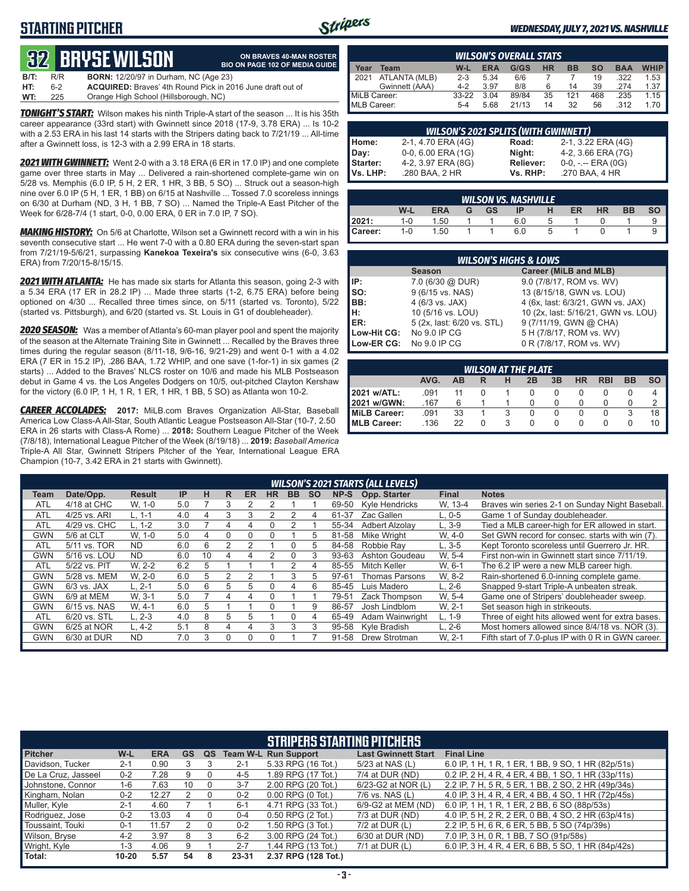## **STARTING PITCHER**



**ON BRAVES 40-MAN ROSTER**

#### *WEDNESDAY, JULY 7, 2021 VS. NASHVILLE*

# **32****BRYSE WILSON**

|      |     | <b>QZ DIIYJL WILJUN</b>                                           | <b>BIO ON PAGE 102 OF MEDIA GUIDE</b> |
|------|-----|-------------------------------------------------------------------|---------------------------------------|
| B/T: | R/R | <b>BORN:</b> 12/20/97 in Durham, NC (Age 23)                      |                                       |
| HT:  | հ-2 | <b>ACQUIRED:</b> Braves' 4th Round Pick in 2016 June draft out of |                                       |
| WT:  | 225 | Orange High School (Hillsborough, NC)                             |                                       |

*TONIGHT'S START:* Wilson makes his ninth Triple-A start of the season ... It is his 35th career appearance (33rd start) with Gwinnett since 2018 (17-9, 3.78 ERA) ... Is 10-2 with a 2.53 ERA in his last 14 starts with the Stripers dating back to 7/21/19 ... All-time after a Gwinnett loss, is 12-3 with a 2.99 ERA in 18 starts.

*2021 WITH GWINNETT:* Went 2-0 with a 3.18 ERA (6 ER in 17.0 IP) and one complete game over three starts in May ... Delivered a rain-shortened complete-game win on 5/28 vs. Memphis (6.0 IP, 5 H, 2 ER, 1 HR, 3 BB, 5 SO) ... Struck out a season-high nine over 6.0 IP (5 H, 1 ER, 1 BB) on 6/15 at Nashville ... Tossed 7.0 scoreless innings on 6/30 at Durham (ND, 3 H, 1 BB, 7 SO) ... Named the Triple-A East Pitcher of the Week for 6/28-7/4 (1 start, 0-0, 0.00 ERA, 0 ER in 7.0 IP, 7 SO).

*MAKING HISTORY:* On 5/6 at Charlotte, Wilson set a Gwinnett record with a win in his seventh consecutive start ... He went 7-0 with a 0.80 ERA during the seven-start span from 7/21/19-5/6/21, surpassing **Kanekoa Texeira's** six consecutive wins (6-0, 3.63 ERA) from 7/20/15-8/15/15.

*2021 WITH ATLANTA:* He has made six starts for Atlanta this season, going 2-3 with a 5.34 ERA (17 ER in 28.2 IP) ... Made three starts (1-2, 6.75 ERA) before being optioned on 4/30 ... Recalled three times since, on 5/11 (started vs. Toronto), 5/22 (started vs. Pittsburgh), and 6/20 (started vs. St. Louis in G1 of doubleheader).

*2020 SEASON:* Was a member of Atlanta's 60-man player pool and spent the majority of the season at the Alternate Training Site in Gwinnett ... Recalled by the Braves three times during the regular season (8/11-18, 9/6-16, 9/21-29) and went 0-1 with a 4.02 ERA (7 ER in 15.2 IP), .286 BAA, 1.72 WHIP, and one save (1-for-1) in six games (2 starts) ... Added to the Braves' NLCS roster on 10/6 and made his MLB Postseason debut in Game 4 vs. the Los Angeles Dodgers on 10/5, out-pitched Clayton Kershaw for the victory (6.0 IP, 1 H, 1 R, 1 ER, 1 HR, 1 BB, 5 SO) as Atlanta won 10-2.

*CAREER ACCOLADES:* **2017:** MiLB.com Braves Organization All-Star, Baseball America Low Class-A All-Star, South Atlantic League Postseason All-Star (10-7, 2.50 ERA in 26 starts with Class-A Rome) ... **2018:** Southern League Pitcher of the Week (7/8/18), International League Pitcher of the Week (8/19/18) ... **2019:** *Baseball America*  Triple-A All Star, Gwinnett Stripers Pitcher of the Year, International League ERA Champion (10-7, 3.42 ERA in 21 starts with Gwinnett).

|              | <b>WILSON'S OVERALL STATS</b> |         |            |       |           |           |           |            |             |  |  |  |
|--------------|-------------------------------|---------|------------|-------|-----------|-----------|-----------|------------|-------------|--|--|--|
| Year         | Team                          | W-L     | <b>ERA</b> | G/GS  | <b>HR</b> | <b>BB</b> | <b>SO</b> | <b>BAA</b> | <b>WHIP</b> |  |  |  |
| 2021         | ATLANTA (MLB)                 | $2 - 3$ | 5.34       | 6/6   |           |           | 19        | .322       | 1.53        |  |  |  |
|              | Gwinnett (AAA)                | $4 - 2$ | 3.97       | 8/8   | 6         | 14        | 39        | 274        | 1.37        |  |  |  |
| MiLB Career: |                               | $33-22$ | 3.04       | 89/84 | 35        | 121       | 468       | .235       | 1.15        |  |  |  |
| MLB Career:  |                               | $5 - 4$ | 5.68       | 21/13 | 14        | 32        | 56        | 312        | 170         |  |  |  |

| <b>WILSON'S 2021 SPLITS (WITH GWINNETT)</b> |                    |                  |                       |  |  |  |  |  |  |  |
|---------------------------------------------|--------------------|------------------|-----------------------|--|--|--|--|--|--|--|
| Home:                                       | 2-1, 4.70 ERA (4G) | Road:            | 2-1, 3.22 ERA (4G)    |  |  |  |  |  |  |  |
| Day:                                        | 0-0, 6.00 ERA (1G) | Night:           | 4-2, 3.66 ERA (7G)    |  |  |  |  |  |  |  |
| Starter:                                    | 4-2, 3.97 ERA (8G) | <b>Reliever:</b> | $0-0, - -$ ERA $(0G)$ |  |  |  |  |  |  |  |
| Vs. LHP:                                    | .280 BAA, 2 HR     | Vs. RHP:         | .270 BAA, 4 HR        |  |  |  |  |  |  |  |

|         |         |            |   |           | <b>WILSON VS. NASHVILLE</b> |   |    |           |           |           |
|---------|---------|------------|---|-----------|-----------------------------|---|----|-----------|-----------|-----------|
|         | W-L     | <b>ERA</b> | G | <b>GS</b> | ΙP                          | н | ER | <b>HR</b> | <b>BB</b> | <b>SO</b> |
| 12021:  | $1 - 0$ | 1.50       |   |           | 6.0                         | 5 |    |           |           |           |
| Career: | $1 - 0$ | 1.50       |   |           | 6.0                         | 5 |    |           |           |           |

|                                        | <b>WILSON'S HIGHS &amp; LOWS</b> |                                     |  |  |  |  |  |  |  |  |  |
|----------------------------------------|----------------------------------|-------------------------------------|--|--|--|--|--|--|--|--|--|
| Career (MiLB and MLB)<br><b>Season</b> |                                  |                                     |  |  |  |  |  |  |  |  |  |
| IP:                                    | 7.0 (6/30 @ DUR)                 | 9.0 (7/8/17, ROM vs. WV)            |  |  |  |  |  |  |  |  |  |
| so:                                    | 9 (6/15 vs. NAS)                 | 13 (8/15/18, GWN vs. LOU)           |  |  |  |  |  |  |  |  |  |
| IBB:                                   | 4 (6/3 vs. JAX)                  | 4 (6x, last: 6/3/21, GWN vs. JAX)   |  |  |  |  |  |  |  |  |  |
| Iн:                                    | 10 (5/16 vs. LOU)                | 10 (2x, last: 5/16/21, GWN vs. LOU) |  |  |  |  |  |  |  |  |  |
| <b>IER:</b>                            | 5 (2x, last: 6/20 vs. STL)       | 9 (7/11/19, GWN @ CHA)              |  |  |  |  |  |  |  |  |  |
| Low-Hit CG:                            | No 9.0 IP CG                     | 5 H (7/8/17, ROM vs. WV)            |  |  |  |  |  |  |  |  |  |
| Low-ER CG:                             | No 9.0 IP CG                     | 0 R (7/8/17, ROM vs. WV)            |  |  |  |  |  |  |  |  |  |

| <b>WILSON AT THE PLATE</b> |      |    |  |   |    |    |    |            |    |           |  |
|----------------------------|------|----|--|---|----|----|----|------------|----|-----------|--|
|                            | AVG. | AВ |  | н | 2B | 3B | HR | <b>RBI</b> | BB | <b>SO</b> |  |
| 2021 w/ATL:                | .091 |    |  |   |    |    |    |            |    |           |  |
| l 2021 w/GWN:              | .167 | 6  |  |   |    |    |    |            |    |           |  |
| MiLB Career:               | 091. | 33 |  |   |    |    |    |            |    | 18        |  |
| <b>IMLB Career:</b>        | .136 | 22 |  |   |    |    |    |            |    |           |  |

|            | <b>WILSON'S 2021 STARTS (ALL LEVELS)</b> |               |           |    |   |           |           |     |           |       |                    |              |                                                    |
|------------|------------------------------------------|---------------|-----------|----|---|-----------|-----------|-----|-----------|-------|--------------------|--------------|----------------------------------------------------|
| Team       | Date/Opp.                                | <b>Result</b> | <b>IP</b> | н  | R | <b>ER</b> | <b>HR</b> | BB. | <b>SO</b> | NP-S  | Opp. Starter       | <b>Final</b> | <b>Notes</b>                                       |
| <b>ATL</b> | 4/18 at CHC                              | W. 1-0        | 5.0       |    | 3 |           |           |     |           | 69-50 | Kyle Hendricks     | W. 13-4      | Braves win series 2-1 on Sunday Night Baseball.    |
| <b>ATL</b> | 4/25 vs. ARI                             | $L. 1-1$      | 4.0       | 4  | 3 | 3         |           |     | 4         | 61-37 | Zac Gallen         | $L. 0-5$     | Game 1 of Sunday doubleheader.                     |
| <b>ATL</b> | 4/29 vs. CHC                             | $L. 1-2$      | 3.0       |    | 4 |           |           |     |           | 55-34 | Adbert Alzolav     | $L, 3-9$     | Tied a MLB career-high for ER allowed in start.    |
| GWN        | 5/6 at CLT                               | W. 1-0        | 5.0       | 4  | 0 | $\Omega$  |           |     | 5         | 81-58 | <b>Mike Wright</b> | W. 4-0       | Set GWN record for consec. starts with win (7).    |
| <b>ATL</b> | 5/11 vs. TOR                             | <b>ND</b>     | 6.0       | 6  | 2 |           |           | 0   | 5.        | 84-58 | Robbie Rav         | L, 3-5       | Kept Toronto scoreless until Guerrero Jr. HR.      |
| GWN        | 5/16 vs. LOU                             | <b>ND</b>     | 6.0       | 10 | 4 |           |           | 0   | 3         | 93-63 | Ashton Goudeau     | W. 5-4       | First non-win in Gwinnett start since 7/11/19.     |
| <b>ATL</b> | 5/22 vs. PIT                             | W. 2-2        | 6.2       | 5  |   |           |           |     | 4         | 85-55 | Mitch Keller       | W, 6-1       | The 6.2 IP were a new MLB career high.             |
| GWN        | 5/28 vs. MEM                             | W. 2-0        | 6.0       | 5  |   |           |           | 3   | 5.        | 97-61 | Thomas Parsons     | W, 8-2       | Rain-shortened 6.0-inning complete game.           |
| GWN        | $6/3$ vs. JAX                            | $L.2 - 1$     | 5.0       | 6  | 5 | 5         | U         | 4   | 6         | 85-45 | Luis Madero        | $L. 2-6$     | Snapped 9-start Triple-A unbeaten streak.          |
| GWN        | 6/9 at MEM                               | W. 3-1        | 5.0       |    | 4 | 4         |           |     |           | 79-51 | Zack Thompson      | W. 5-4       | Game one of Stripers' doubleheader sweep.          |
| <b>GWN</b> | 6/15 vs. NAS                             | W. 4-1        | 6.0       | 5  |   |           |           |     | 9         | 86-57 | Josh Lindblom      | W. 2-1       | Set season high in strikeouts.                     |
| <b>ATL</b> | 6/20 vs. STL                             | L. 2-3        | 4.0       | 8  | 5 | 5         |           | 0   | 4         | 65-49 | Adam Wainwright    | $L. 1-9$     | Three of eight hits allowed went for extra bases.  |
| GWN        | 6/25 at NOR                              | $L.4-2$       | 5.1       | 8  | 4 | 4         | 3         | 3   | 3         | 95-58 | Kyle Bradish       | $L. 2-6$     | Most homers allowed since 8/4/18 vs. NOR (3).      |
| GWN        | 6/30 at DUR                              | <b>ND</b>     | 7.0       | 3  | 0 | O         |           |     |           | 91-58 | Drew Strotman      | W. 2-1       | Fifth start of 7.0-plus IP with 0 R in GWN career. |
|            |                                          |               |           |    |   |           |           |     |           |       |                    |              |                                                    |

|                     |           |            |           |          |         | <b>STRIPERS STARTING PITCHERS</b> |                            |                                                    |
|---------------------|-----------|------------|-----------|----------|---------|-----------------------------------|----------------------------|----------------------------------------------------|
| <b>Pitcher</b>      | W-L       | <b>ERA</b> | <b>GS</b> | QS       |         | <b>Team W-L Run Support</b>       | <b>Last Gwinnett Start</b> | <b>Final Line</b>                                  |
| Davidson, Tucker    | $2 - 1$   | 0.90       |           |          | $2 - 1$ | 5.33 RPG (16 Tot.)                | 5/23 at NAS (L)            | 6.0 IP, 1 H, 1 R, 1 ER, 1 BB, 9 SO, 1 HR (82p/51s) |
| De La Cruz, Jasseel | $0 - 2$   | 7.28       |           |          | $4 - 5$ | 1.89 RPG (17 Tot.)                | 7/4 at DUR (ND)            | 0.2 IP, 2 H, 4 R, 4 ER, 4 BB, 1 SO, 1 HR (33p/11s) |
| Johnstone, Connor   | 1-6       | 7.63       | 10        |          | $3 - 7$ | 2.00 RPG (20 Tot.)                | 6/23-G2 at NOR (L)         | 2.2 IP, 7 H, 5 R, 5 ER, 1 BB, 2 SO, 2 HR (49p/34s) |
| Kingham, Nolan      | $0 - 2$   | 12.27      |           |          | $0 - 2$ | $0.00$ RPG $(0$ Tot.)             | 7/6 vs. NAS (L)            | 4.0 IP, 3 H, 4 R, 4 ER, 4 BB, 4 SO, 1 HR (72p/45s) |
| Muller, Kyle        | $2 - 1$   | 4.60       |           |          | $6 - 1$ | 4.71 RPG (33 Tot.)                | 6/9-G2 at MEM (ND)         | 6.0 IP, 1 H, 1 R, 1 ER, 2 BB, 6 SO (88p/53s)       |
| Rodriguez, Jose     | $0 - 2$   | 13.03      | 4         |          | $0 - 4$ | $0.50$ RPG $(2$ Tot.)             | 7/3 at DUR (ND)            | 4.0 IP, 5 H, 2 R, 2 ER, 0 BB, 4 SO, 2 HR (63p/41s) |
| Toussaint. Touki    | $0 - 1$   | 11.57      |           | $\Omega$ | $0 - 2$ | 1.50 RPG (3 Tot.)                 | 7/2 at DUR (L)             | 2.2 IP, 5 H, 6 R, 6 ER, 5 BB, 5 SO (74p/39s)       |
| Wilson, Bryse       | $4 - 2$   | 3.97       | 8         |          | $6 - 2$ | 3.00 RPG (24 Tot.)                | 6/30 at DUR (ND)           | 7.0 IP, 3 H, 0 R, 1 BB, 7 SO (91p/58s)             |
| Wright, Kyle        | 1-3       | 4.06       | 9         |          | $2 - 7$ | 1.44 RPG (13 Tot.)                | $7/1$ at DUR $(L)$         | 6.0 IP, 3 H, 4 R, 4 ER, 6 BB, 5 SO, 1 HR (84p/42s) |
| Total:              | $10 - 20$ | 5.57       | 54        |          | 23-31   | 2.37 RPG (128 Tot.)               |                            |                                                    |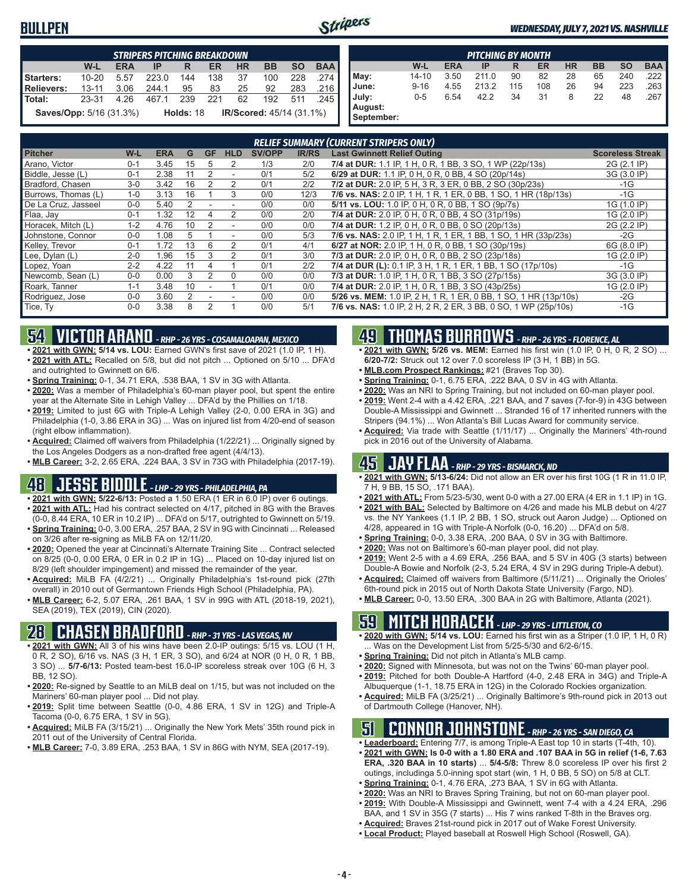#### **BULLPEN**



#### *WEDNESDAY, JULY 7, 2021 VS. NASHVILLE*

|                                | <b>STRIPERS PITCHING BREAKDOWN</b> |            |       |             |     |           |                                 |           |            |  |  |
|--------------------------------|------------------------------------|------------|-------|-------------|-----|-----------|---------------------------------|-----------|------------|--|--|
|                                | $W-L$                              | <b>ERA</b> | ΙP    | R           | ER  | <b>HR</b> | <b>BB</b>                       | <b>SO</b> | <b>BAA</b> |  |  |
| Starters:                      | $10 - 20$                          | 5.57       | 223.0 | 144         | 138 | 37        | 100                             | 228       | 274 I      |  |  |
| <b>Relievers:</b>              | $13 - 11$                          | 3.06       | 2441  | 95          | 83  | 25        | 92                              | 283       | ا 216.     |  |  |
| Total:                         | 23-31                              | 4 26       | 4671  | 239         | 221 | 62        | 192                             | 511       | 245 l      |  |  |
| <b>Saves/Opp:</b> 5/16 (31.3%) |                                    |            |       | Holds: $18$ |     |           | <b>IR/Scored: 45/14 (31.1%)</b> |           |            |  |  |

| <b>PITCHING BY MONTH</b> |           |            |       |     |     |           |    |           |            |  |
|--------------------------|-----------|------------|-------|-----|-----|-----------|----|-----------|------------|--|
|                          | W-L       | <b>ERA</b> | IP    | R   | ER  | <b>HR</b> | BB | <b>SO</b> | <b>BAA</b> |  |
| May:                     | $14 - 10$ | 3.50       | 211.0 | 90  | 82  | 28        | 65 | 240       | .222       |  |
| June:                    | $9 - 16$  | 4.55       | 213.2 | 115 | 108 | 26        | 94 | 223       | 263        |  |
| July:                    | $0 - 5$   | 6.54       | 42.2  | 34  | 31  | 8         | 22 | 48        | .267       |  |
| August:                  |           |            |       |     |     |           |    |           |            |  |
| September:               |           |            |       |     |     |           |    |           |            |  |

|                     | <b>RELIEF SUMMARY (CURRENT STRIPERS ONLY)</b> |            |    |               |                          |               |              |                                                                  |                         |  |  |
|---------------------|-----------------------------------------------|------------|----|---------------|--------------------------|---------------|--------------|------------------------------------------------------------------|-------------------------|--|--|
| <b>Pitcher</b>      | W-L                                           | <b>ERA</b> | G  | GF            | <b>HLD</b>               | <b>SV/OPP</b> | <b>IR/RS</b> | <b>Last Gwinnett Relief Outing</b>                               | <b>Scoreless Streak</b> |  |  |
| Arano, Victor       | $0 - 1$                                       | 3.45       | 15 |               | 2                        | 1/3           | 2/0          | 7/4 at DUR: 1.1 IP, 1 H, 0 R, 1 BB, 3 SO, 1 WP (22p/13s)         | 2G (2.1 IP)             |  |  |
| Biddle, Jesse (L)   | $0 - 1$                                       | 2.38       | 11 | 2             | ٠                        | 0/1           | 5/2          | 6/29 at DUR: 1.1 IP, 0 H, 0 R, 0 BB, 4 SO (20p/14s)              | 3G (3.0 IP)             |  |  |
| Bradford, Chasen    | $3-0$                                         | 3.42       | 16 |               | 2                        | 0/1           | 2/2          | 7/2 at DUR: 2.0 IP, 5 H, 3 R, 3 ER, 0 BB, 2 SO (30p/23s)         | $-1G$                   |  |  |
| Burrows, Thomas (L) | $1 - 0$                                       | 3.13       | 16 |               | 3                        | 0/0           | 12/3         | 7/6 vs. NAS: 2.0 IP, 1 H, 1 R, 1 ER, 0 BB, 1 SO, 1 HR (18p/13s)  | $-1G$                   |  |  |
| De La Cruz, Jasseel | $0 - 0$                                       | 5.40       |    |               |                          | 0/0           | 0/0          | 5/11 vs. LOU: 1.0 IP, 0 H, 0 R, 0 BB, 1 SO (9p/7s)               | 1G (1.0 IP)             |  |  |
| Flaa, Jay           | $0 - 1$                                       | 1.32       | 12 | 4             | 2                        | 0/0           | 2/0          | 7/4 at DUR: 2.0 IP, 0 H, 0 R, 0 BB, 4 SO (31p/19s)               | 1G (2.0 IP)             |  |  |
| Horacek, Mitch (L)  | $1 - 2$                                       | 4.76       | 10 |               | $\overline{\phantom{a}}$ | 0/0           | 0/0          | 7/4 at DUR: 1.2 IP, 0 H, 0 R, 0 BB, 0 SO (20p/13s)               | 2G (2.2 IP)             |  |  |
| Johnstone, Connor   | $0 - 0$                                       | 1.08       | 5  |               | ٠                        | 0/0           | 5/3          | 7/6 vs. NAS: 2.0 IP, 1 H, 1 R, 1 ER, 1 BB, 1 SO, 1 HR (33p/23s)  | $-2G$                   |  |  |
| Kelley, Trevor      | $0 - 1$                                       | 1.72       | 13 | 6             | $\mathfrak{p}$           | 0/1           | 4/1          | 6/27 at NOR: 2.0 IP, 1 H, 0 R, 0 BB, 1 SO (30p/19s)              | 6G (8.0 IP)             |  |  |
| Lee, Dylan (L)      | $2 - 0$                                       | 1.96       | 15 | 3             |                          | 0/1           | 3/0          | 7/3 at DUR: 2.0 IP, 0 H, 0 R, 0 BB, 2 SO (23p/18s)               | 1G (2.0 IP)             |  |  |
| Lopez, Yoan         | $2 - 2$                                       | 4.22       | 11 |               |                          | 0/1           | 2/2          | 7/4 at DUR (L): 0.1 IP, 3 H, 1 R, 1 ER, 1 BB, 1 SO (17p/10s)     | $-1G$                   |  |  |
| Newcomb, Sean (L)   | $0 - 0$                                       | 0.00       |    | $\mathcal{P}$ | $\Omega$                 | 0/0           | 0/0          | 7/3 at DUR: 1.0 IP, 1 H, 0 R, 1 BB, 3 SO (27p/15s)               | 3G (3.0 IP)             |  |  |
| Roark, Tanner       | $1 - 1$                                       | 3.48       | 10 |               |                          | 0/1           | 0/0          | 7/4 at DUR: 2.0 IP, 1 H, 0 R, 1 BB, 3 SO (43p/25s)               | 1G (2.0 IP)             |  |  |
| Rodriguez, Jose     | $0 - 0$                                       | 3.60       |    |               |                          | 0/0           | 0/0          | 5/26 vs. MEM: 1.0 IP, 2 H, 1 R, 1 ER, 0 BB, 1 SO, 1 HR (13p/10s) | $-2G$                   |  |  |
| Tice, Ty            | $0 - 0$                                       | 3.38       |    | $\mathcal{P}$ |                          | 0/0           | 5/1          | 7/6 vs. NAS: 1.0 IP, 2 H, 2 R, 2 ER, 3 BB, 0 SO, 1 WP (25p/10s)  | $-1G$                   |  |  |

# **54 VICTOR ARANO** *- RHP - 26 YRS - COSAMALOAPAN, MEXICO*

- **• 2021 with GWN: 5/14 vs. LOU:** Earned GWN's first save of 2021 (1.0 IP, 1 H). **• 2021 with ATL:** Recalled on 5/8, but did not pitch ... Optioned on 5/10 ... DFA'd and outrighted to Gwinnett on 6/6.
- **• Spring Training:** 0-1, 34.71 ERA, .538 BAA, 1 SV in 3G with Atlanta.
- **• 2020:** Was a member of Philadelphia's 60-man player pool, but spent the entire year at the Alternate Site in Lehigh Valley ... DFA'd by the Phillies on 1/18.
- **• 2019:** Limited to just 6G with Triple-A Lehigh Valley (2-0, 0.00 ERA in 3G) and Philadelphia (1-0, 3.86 ERA in 3G) ... Was on injured list from 4/20-end of season (right elbow inflammation).
- **• Acquired:** Claimed off waivers from Philadelphia (1/22/21) ... Originally signed by the Los Angeles Dodgers as a non-drafted free agent (4/4/13).

**• MLB Career:** 3-2, 2.65 ERA, .224 BAA, 3 SV in 73G with Philadelphia (2017-19).

# **48 JESSE BIDDLE** *- LHP - 29 YRS - PHILADELPHIA, PA*

- **• 2021 with GWN: 5/22-6/13:** Posted a 1.50 ERA (1 ER in 6.0 IP) over 6 outings. **• 2021 with ATL:** Had his contract selected on 4/17, pitched in 8G with the Braves
- (0-0, 8.44 ERA, 10 ER in 10.2 IP) ... DFA'd on 5/17, outrighted to Gwinnett on 5/19. **• Spring Training:** 0-0, 3.00 ERA, .257 BAA, 2 SV in 9G with Cincinnati ... Released
- on 3/26 after re-signing as MiLB FA on 12/11/20. **• 2020:** Opened the year at Cincinnati's Alternate Training Site ... Contract selected
- on 8/25 (0-0, 0.00 ERA, 0 ER in 0.2 IP in 1G) ... Placed on 10-day injured list on 8/29 (left shoulder impingement) and missed the remainder of the year.
- **• Acquired:** MiLB FA (4/2/21) ... Originally Philadelphia's 1st-round pick (27th overall) in 2010 out of Germantown Friends High School (Philadelphia, PA).
- **• MLB Career:** 6-2, 5.07 ERA, .261 BAA, 1 SV in 99G with ATL (2018-19, 2021), SEA (2019), TEX (2019), CIN (2020).

## **28 CHASEN BRADFORD** *- RHP - 31 YRS - LAS VEGAS, NV*

- **• 2021 with GWN:** All 3 of his wins have been 2.0-IP outings: 5/15 vs. LOU (1 H, 0 R, 2 SO), 6/16 vs. NAS (3 H, 1 ER, 3 SO), and 6/24 at NOR (0 H, 0 R, 1 BB, 3 SO) ... **5/7-6/13:** Posted team-best 16.0-IP scoreless streak over 10G (6 H, 3 BB, 12 SO).
- **• 2020:** Re-signed by Seattle to an MiLB deal on 1/15, but was not included on the Mariners' 60-man player pool ... Did not play.
- **• 2019:** Split time between Seattle (0-0, 4.86 ERA, 1 SV in 12G) and Triple-A Tacoma (0-0, 6.75 ERA, 1 SV in 5G).
- **• Acquired:** MiLB FA (3/15/21) ... Originally the New York Mets' 35th round pick in 2011 out of the University of Central Florida.
- **• MLB Career:** 7-0, 3.89 ERA, .253 BAA, 1 SV in 86G with NYM, SEA (2017-19).

# **49 THOMAS BURROWS** *- RHP - 26 YRS - FLORENCE, AL*

- **• 2021 with GWN: 5/26 vs. MEM:** Earned his first win (1.0 IP, 0 H, 0 R, 2 SO) ... **6/20-7/2:** Struck out 12 over 7.0 scoreless IP (3 H, 1 BB) in 5G.
- **• MLB.com Prospect Rankings:** #21 (Braves Top 30).
- **• Spring Training:** 0-1, 6.75 ERA, .222 BAA, 0 SV in 4G with Atlanta.
- **• 2020:** Was an NRI to Spring Training, but not included on 60-man player pool.
- **• 2019:** Went 2-4 with a 4.42 ERA, .221 BAA, and 7 saves (7-for-9) in 43G between Double-A Mississippi and Gwinnett ... Stranded 16 of 17 inherited runners with the Stripers (94.1%) ... Won Atlanta's Bill Lucas Award for community service.
- **• Acquired:** Via trade with Seattle (1/11/17) ... Originally the Mariners' 4th-round pick in 2016 out of the University of Alabama.

#### **45 JAY FLAA** *- RHP - 29 YRS - BISMARCK, ND*

- **• 2021 with GWN: 5/13-6/24:** Did not allow an ER over his first 10G (1 R in 11.0 IP, 7 H, 9 BB, 15 SO, .171 BAA).
- **• 2021 with ATL:** From 5/23-5/30, went 0-0 with a 27.00 ERA (4 ER in 1.1 IP) in 1G.
- **• 2021 with BAL:** Selected by Baltimore on 4/26 and made his MLB debut on 4/27 vs. the NY Yankees (1.1 IP, 2 BB, 1 SO, struck out Aaron Judge) ... Optioned on 4/28, appeared in 1G with Triple-A Norfolk (0-0, 16.20) ... DFA'd on 5/8.
- **• Spring Training:** 0-0, 3.38 ERA, .200 BAA, 0 SV in 3G with Baltimore.
- **• 2020:** Was not on Baltimore's 60-man player pool, did not play.
- **• 2019:** Went 2-5 with a 4.69 ERA, .256 BAA, and 5 SV in 40G (3 starts) between Double-A Bowie and Norfolk (2-3, 5.24 ERA, 4 SV in 29G during Triple-A debut).
- **• Acquired:** Claimed off waivers from Baltimore (5/11/21) ... Originally the Orioles' 6th-round pick in 2015 out of North Dakota State University (Fargo, ND).
- **• MLB Career:** 0-0, 13.50 ERA, .300 BAA in 2G with Baltimore, Atlanta (2021).

# **59 MITCH HORACEK** *- LHP - 29 YRS - LITTLETON, CO*

- **• 2020 with GWN: 5/14 vs. LOU:** Earned his first win as a Striper (1.0 IP, 1 H, 0 R) . Was on the Development List from 5/25-5/30 and 6/2-6/15.
- **• Spring Training:** Did not pitch in Atlanta's MLB camp.
- **• 2020:** Signed with Minnesota, but was not on the Twins' 60-man player pool. **• 2019:** Pitched for both Double-A Hartford (4-0, 2.48 ERA in 34G) and Triple-A
- Albuquerque (1-1, 18.75 ERA in 12G) in the Colorado Rockies organization. **• Acquired:** MiLB FA (3/25/21) ... Originally Baltimore's 9th-round pick in 2013 out
- of Dartmouth College (Hanover, NH).

#### **51 CONNOR JOHNSTONE** *- RHP - 26 YRS - SAN DIEGO, CA*

- **• Leaderboard:** Entering 7/7, is among Triple-A East top 10 in starts (T-4th, 10).
- **• 2021 with GWN: Is 0-0 with a 1.80 ERA and .107 BAA in 5G in relief (1-6, 7.63 ERA, .320 BAA in 10 starts)** ... **5/4-5/8:** Threw 8.0 scoreless IP over his first 2 outings, includinga 5.0-inning spot start (win, 1 H, 0 BB, 5 SO) on 5/8 at CLT.
- **• Spring Training:** 0-1, 4.76 ERA, .273 BAA, 1 SV in 6G with Atlanta.
- **• 2020:** Was an NRI to Braves Spring Training, but not on 60-man player pool.
- **• 2019:** With Double-A Mississippi and Gwinnett, went 7-4 with a 4.24 ERA, .296 BAA, and 1 SV in 35G (7 starts) ... His 7 wins ranked T-8th in the Braves org.
- **• Acquired:** Braves 21st-round pick in 2017 out of Wake Forest University.
- **• Local Product:** Played baseball at Roswell High School (Roswell, GA).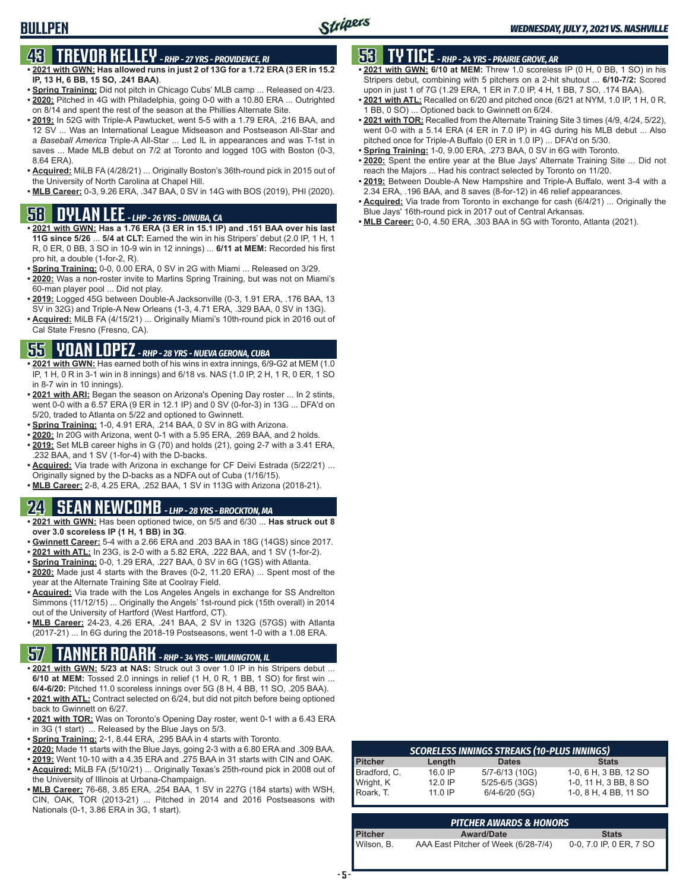# **43 TREVOR KELLEY** *- RHP - 27 YRS - PROVIDENCE, RI*

- **• 2021 with GWN: Has allowed runs in just 2 of 13G for a 1.72 ERA (3 ER in 15.2 IP, 13 H, 6 BB, 15 SO, .241 BAA)**.
- **• Spring Training:** Did not pitch in Chicago Cubs' MLB camp ... Released on 4/23. **• 2020:** Pitched in 4G with Philadelphia, going 0-0 with a 10.80 ERA ... Outrighted
- on 8/14 and spent the rest of the season at the Phillies Alternate Site. **• 2019:** In 52G with Triple-A Pawtucket, went 5-5 with a 1.79 ERA, .216 BAA, and
- 12 SV ... Was an International League Midseason and Postseason All-Star and a *Baseball America* Triple-A All-Star ... Led IL in appearances and was T-1st in saves ... Made MLB debut on 7/2 at Toronto and logged 10G with Boston (0-3, 8.64 ERA).
- **• Acquired:** MiLB FA (4/28/21) ... Originally Boston's 36th-round pick in 2015 out of the University of North Carolina at Chapel Hill.
- **• MLB Career:** 0-3, 9.26 ERA, .347 BAA, 0 SV in 14G with BOS (2019), PHI (2020).

#### **58 DYLAN LEE** *- LHP - 26 YRS - DINUBA, CA*

- **• 2021 with GWN: Has a 1.76 ERA (3 ER in 15.1 IP) and .151 BAA over his last 11G since 5/26** ... **5/4 at CLT:** Earned the win in his Stripers' debut (2.0 IP, 1 H, 1 R, 0 ER, 0 BB, 3 SO in 10-9 win in 12 innings) ... **6/11 at MEM:** Recorded his first pro hit, a double (1-for-2, R).
- **• Spring Training:** 0-0, 0.00 ERA, 0 SV in 2G with Miami ... Released on 3/29.
- **• 2020:** Was a non-roster invite to Marlins Spring Training, but was not on Miami's 60-man player pool ... Did not play.
- **• 2019:** Logged 45G between Double-A Jacksonville (0-3, 1.91 ERA, .176 BAA, 13 SV in 32G) and Triple-A New Orleans (1-3, 4.71 ERA, .329 BAA, 0 SV in 13G).
- **• Acquired:** MiLB FA (4/15/21) ... Originally Miami's 10th-round pick in 2016 out of Cal State Fresno (Fresno, CA).

# **55 YOAN LOPEZ** *- RHP - 28 YRS - NUEVA GERONA, CUBA*

- **• 2021 with GWN:** Has earned both of his wins in extra innings, 6/9-G2 at MEM (1.0 IP, 1 H, 0 R in 3-1 win in 8 innings) and 6/18 vs. NAS (1.0 IP, 2 H, 1 R, 0 ER, 1 SO in 8-7 win in 10 innings).
- **• 2021 with ARI:** Began the season on Arizona's Opening Day roster ... In 2 stints, went 0-0 with a 6.57 ERA (9 ER in 12.1 IP) and 0 SV (0-for-3) in 13G ... DFA'd on 5/20, traded to Atlanta on 5/22 and optioned to Gwinnett.
- **• Spring Training:** 1-0, 4.91 ERA, .214 BAA, 0 SV in 8G with Arizona.
- **• 2020:** In 20G with Arizona, went 0-1 with a 5.95 ERA, .269 BAA, and 2 holds.
- **• 2019:** Set MLB career highs in G (70) and holds (21), going 2-7 with a 3.41 ERA, .232 BAA, and 1 SV (1-for-4) with the D-backs.
- **• Acquired:** Via trade with Arizona in exchange for CF Deivi Estrada (5/22/21) ... Originally signed by the D-backs as a NDFA out of Cuba (1/16/15).
- **• MLB Career:** 2-8, 4.25 ERA, .252 BAA, 1 SV in 113G with Arizona (2018-21).

## **24 SEAN NEWCOMB** *- LHP - 28 YRS - BROCKTON, MA*

- **• 2021 with GWN:** Has been optioned twice, on 5/5 and 6/30 ... **Has struck out 8 over 3.0 scoreless IP (1 H, 1 BB) in 3G**.
- **• Gwinnett Career:** 5-4 with a 2.66 ERA and .203 BAA in 18G (14GS) since 2017.
- **• 2021 with ATL:** In 23G, is 2-0 with a 5.82 ERA, .222 BAA, and 1 SV (1-for-2).
- **• Spring Training:** 0-0, 1.29 ERA, .227 BAA, 0 SV in 6G (1GS) with Atlanta.
- **• 2020:** Made just 4 starts with the Braves (0-2, 11.20 ERA) ... Spent most of the year at the Alternate Training Site at Coolray Field.
- **• Acquired:** Via trade with the Los Angeles Angels in exchange for SS Andrelton Simmons (11/12/15) ... Originally the Angels' 1st-round pick (15th overall) in 2014 out of the University of Hartford (West Hartford, CT).
- **• MLB Career:** 24-23, 4.26 ERA, .241 BAA, 2 SV in 132G (57GS) with Atlanta (2017-21) ... In 6G during the 2018-19 Postseasons, went 1-0 with a 1.08 ERA.

# **57 TANNER ROARK** *- RHP - 34 YRS - WILMINGTON, IL*

- **• 2021 with GWN: 5/23 at NAS:** Struck out 3 over 1.0 IP in his Stripers debut ... **6/10 at MEM:** Tossed 2.0 innings in relief (1 H, 0 R, 1 BB, 1 SO) for first win ... **6/4-6/20:** Pitched 11.0 scoreless innings over 5G (8 H, 4 BB, 11 SO, .205 BAA).
- **• 2021 with ATL:** Contract selected on 6/24, but did not pitch before being optioned back to Gwinnett on 6/27.
- **• 2021 with TOR:** Was on Toronto's Opening Day roster, went 0-1 with a 6.43 ERA in 3G (1 start) ... Released by the Blue Jays on 5/3.
- **• Spring Training:** 2-1, 8.44 ERA, .295 BAA in 4 starts with Toronto.
- **• 2020:** Made 11 starts with the Blue Jays, going 2-3 with a 6.80 ERA and .309 BAA.
- **• 2019:** Went 10-10 with a 4.35 ERA and .275 BAA in 31 starts with CIN and OAK. **• Acquired:** MiLB FA (5/10/21) ... Originally Texas's 25th-round pick in 2008 out of the University of Illinois at Urbana-Champaign.
- **• MLB Career:** 76-68, 3.85 ERA, .254 BAA, 1 SV in 227G (184 starts) with WSH, CIN, OAK, TOR (2013-21) ... Pitched in 2014 and 2016 Postseasons with Nationals (0-1, 3.86 ERA in 3G, 1 start).

## **53 TY TICE** *- RHP - 24 YRS - PRAIRIE GROVE, AR*

- **• 2021 with GWN: 6/10 at MEM:** Threw 1.0 scoreless IP (0 H, 0 BB, 1 SO) in his Stripers debut, combining with 5 pitchers on a 2-hit shutout ... **6/10-7/2:** Scored upon in just 1 of 7G (1.29 ERA, 1 ER in 7.0 IP, 4 H, 1 BB, 7 SO, .174 BAA).
- **• 2021 with ATL:** Recalled on 6/20 and pitched once (6/21 at NYM, 1.0 IP, 1 H, 0 R, 1 BB, 0 SO) ... Optioned back to Gwinnett on 6/24.
- **• 2021 with TOR:** Recalled from the Alternate Training Site 3 times (4/9, 4/24, 5/22), went 0-0 with a 5.14 ERA (4 ER in 7.0 IP) in 4G during his MLB debut ... Also pitched once for Triple-A Buffalo (0 ER in 1.0 IP) ... DFA'd on 5/30.
- **• Spring Training:** 1-0, 9.00 ERA, .273 BAA, 0 SV in 6G with Toronto.
- **• 2020:** Spent the entire year at the Blue Jays' Alternate Training Site ... Did not reach the Majors ... Had his contract selected by Toronto on 11/20.
- **• 2019:** Between Double-A New Hampshire and Triple-A Buffalo, went 3-4 with a 2.34 ERA, .196 BAA, and 8 saves (8-for-12) in 46 relief appearances.
- **• Acquired:** Via trade from Toronto in exchange for cash (6/4/21) ... Originally the Blue Jays' 16th-round pick in 2017 out of Central Arkansas.
- **• MLB Career:** 0-0, 4.50 ERA, .303 BAA in 5G with Toronto, Atlanta (2021).

| <b>SCORELESS INNINGS STREAKS (10-PLUS INNINGS)</b> |           |                    |                       |  |  |  |  |  |  |  |  |
|----------------------------------------------------|-----------|--------------------|-----------------------|--|--|--|--|--|--|--|--|
| Pitcher                                            | Length    | <b>Dates</b>       | <b>Stats</b>          |  |  |  |  |  |  |  |  |
| Bradford, C.                                       | 16.0 IP   | 5/7-6/13 (10G)     | 1-0, 6 H, 3 BB, 12 SO |  |  |  |  |  |  |  |  |
| Wright, K<br>Roark, T.                             | 12.0 IP   | $5/25 - 6/5$ (3GS) | 1-0, 11 H, 3 BB, 8 SO |  |  |  |  |  |  |  |  |
|                                                    | $11.0$ IP | $6/4 - 6/20$ (5G)  | 1-0, 8 H, 4 BB, 11 SO |  |  |  |  |  |  |  |  |

| <b>PITCHER AWARDS &amp; HONORS</b> |                                     |                         |  |  |  |  |  |  |  |
|------------------------------------|-------------------------------------|-------------------------|--|--|--|--|--|--|--|
| Pitcher                            | <b>Award/Date</b>                   | <b>Stats</b>            |  |  |  |  |  |  |  |
| Wilson, B.                         | AAA East Pitcher of Week (6/28-7/4) | 0-0, 7.0 IP, 0 ER, 7 SO |  |  |  |  |  |  |  |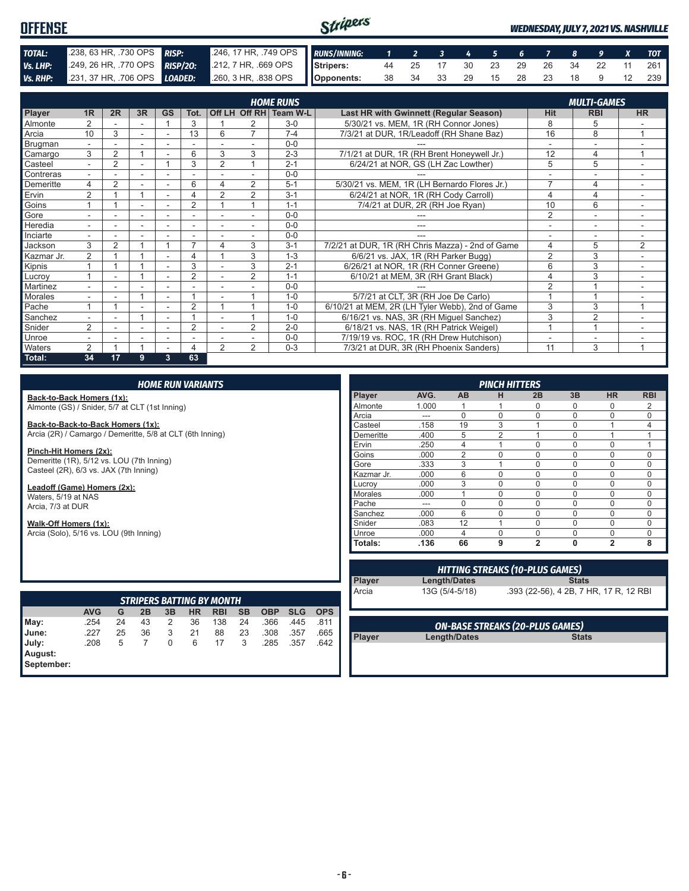#### *WEDNESDAY, JULY 7, 2021 VS. NASHVILLE*



|                |                          |                |    |                          |                          |                |                | <b>HOME RUNS</b>       |                                                  |                          | <b>MULTI-GAMES</b> |                |
|----------------|--------------------------|----------------|----|--------------------------|--------------------------|----------------|----------------|------------------------|--------------------------------------------------|--------------------------|--------------------|----------------|
| Player         | 1 <sub>R</sub>           | 2R             | 3R | <b>GS</b>                | Tot.                     |                |                | Off LH Off RH Team W-L | Last HR with Gwinnett (Regular Season)           | <b>Hit</b>               | <b>RBI</b>         | <b>HR</b>      |
| Almonte        | $\overline{2}$           |                |    |                          | 3                        |                | 2              | $3-0$                  | 5/30/21 vs. MEM, 1R (RH Connor Jones)            | 8                        | 5                  |                |
| Arcia          | 10                       | 3              |    | $\overline{\phantom{a}}$ | 13                       | 6              | $\overline{7}$ | $7 - 4$                | 7/3/21 at DUR, 1R/Leadoff (RH Shane Baz)         | 16                       | 8                  | $\overline{ }$ |
| <b>Brugman</b> | $\overline{\phantom{0}}$ |                |    |                          |                          |                |                | $0 - 0$                |                                                  |                          | ٠                  | ٠              |
| Camargo        | 3                        | 2              |    |                          | 6                        | 3              | 3              | $2 - 3$                | 7/1/21 at DUR, 1R (RH Brent Honeywell Jr.)       | 12                       | 4                  |                |
| Casteel        |                          | $\overline{2}$ |    |                          | 3                        | $\overline{2}$ |                | $2 - 1$                | 6/24/21 at NOR, GS (LH Zac Lowther)              | 5                        | 5                  |                |
| Contreras      |                          |                |    |                          |                          |                |                | $0 - 0$                |                                                  |                          | ۰                  |                |
| Demeritte      | 4                        | $\overline{2}$ |    |                          | 6                        | 4              | 2              | $5 - 1$                | 5/30/21 vs. MEM, 1R (LH Bernardo Flores Jr.)     | $\overline{ }$           | 4                  | Ξ.             |
| Ervin          | 2                        |                |    |                          | 4                        | $\overline{2}$ | $\overline{2}$ | $3 - 1$                | 6/24/21 at NOR, 1R (RH Cody Carroll)             | 4                        | 4                  | ۰.             |
| Goins          |                          |                |    |                          | $\overline{2}$           |                |                | $1 - 1$                | 7/4/21 at DUR, 2R (RH Joe Ryan)                  | 10                       | 6                  |                |
| Gore           |                          |                |    |                          | $\overline{\phantom{a}}$ |                | ٠              | $0 - 0$                |                                                  | $\overline{2}$           | ۰                  |                |
| Heredia        | $\overline{a}$           |                |    |                          |                          |                |                | $0 - 0$                |                                                  |                          | ۰                  | ٠              |
| Inciarte       | $\overline{\phantom{a}}$ |                |    |                          |                          |                | $\sim$         | $0 - 0$                | ---                                              | $\overline{\phantom{0}}$ | ۰                  | ٠              |
| Jackson        | 3                        | $\overline{2}$ |    |                          | 7                        |                | 3              | $3 - 1$                | 7/2/21 at DUR, 1R (RH Chris Mazza) - 2nd of Game | 4                        | 5                  | $\overline{2}$ |
| Kazmar Jr.     | $\overline{2}$           |                |    |                          | 4                        |                | 3              | $1 - 3$                | 6/6/21 vs. JAX, 1R (RH Parker Bugg)              | $\overline{2}$           | 3                  | ÷              |
| Kipnis         |                          |                |    | $\overline{\phantom{a}}$ | 3                        |                | 3              | $2 - 1$                | 6/26/21 at NOR, 1R (RH Conner Greene)            | 6                        | 3                  | ٠              |
| Lucroy         |                          | ۰              |    | $\overline{\phantom{a}}$ | $\overline{2}$           |                | $\overline{2}$ | $1 - 1$                | 6/10/21 at MEM, 3R (RH Grant Black)              | 4                        | 3                  | ۰.             |
| Martinez       |                          |                |    |                          |                          |                |                | $0 - 0$                |                                                  | 2                        |                    |                |
| <b>Morales</b> |                          |                |    |                          | $\overline{A}$           |                |                | $1 - 0$                | 5/7/21 at CLT, 3R (RH Joe De Carlo)              |                          |                    |                |
| Pache          |                          |                |    |                          | $\overline{2}$           |                |                | $1 - 0$                | 6/10/21 at MEM, 2R (LH Tyler Webb), 2nd of Game  | 3                        | 3                  | 1              |
| Sanchez        | $\overline{\phantom{a}}$ |                |    |                          |                          |                |                | $1 - 0$                | 6/16/21 vs. NAS, 3R (RH Miguel Sanchez)          | 3                        | $\overline{2}$     |                |
| Snider         | $\overline{2}$           |                |    |                          | $\overline{2}$           |                | 2              | $2 - 0$                | 6/18/21 vs. NAS, 1R (RH Patrick Weigel)          |                          |                    |                |
| Unroe          |                          |                |    |                          |                          |                |                | $0 - 0$                | 7/19/19 vs. ROC, 1R (RH Drew Hutchison)          |                          | ۰                  |                |
| Waters         | 2                        |                |    |                          | 4                        | $\mathfrak{p}$ | $\overline{2}$ | $0 - 3$                | 7/3/21 at DUR, 3R (RH Phoenix Sanders)           | 11                       | 3                  | 1              |
| Total:         | 34                       | 17             | 9  | 3                        | 63                       |                |                |                        |                                                  |                          |                    |                |

**Back-to-Back Homers (1x):** Almonte (GS) / Snider, 5/7 at CLT (1st Inning)

**Back-to-Back-to-Back Homers (1x):** Arcia (2R) / Camargo / Demeritte, 5/8 at CLT (6th Inning)

**Pinch-Hit Homers (2x):** Demeritte (1R), 5/12 vs. LOU (7th Inning) Casteel (2R), 6/3 vs. JAX (7th Inning)

**Leadoff (Game) Homers (2x):** Waters, 5/19 at NAS Arcia, 7/3 at DUR

**Walk-Off Homers (1x):** Arcia (Solo), 5/16 vs. LOU (9th Inning)

|                       |            |    |    |    |    | <b>STRIPERS BATTING BY MONTH</b> |           |            |            |            |
|-----------------------|------------|----|----|----|----|----------------------------------|-----------|------------|------------|------------|
|                       | <b>AVG</b> | G  | 2B | 3B | HR | <b>RBI</b>                       | <b>SB</b> | <b>OBP</b> | <b>SLG</b> | <b>OPS</b> |
| May:                  | .254       | 24 | 43 | 2  | 36 | 138                              | 24        | .366       | .445       | .811       |
| June:                 | .227       | 25 | 36 | 3  | 21 | 88                               | 23        | .308       | .357       | .665       |
| July:                 | .208       | 5  |    | 0  | 6  | 17                               | 3         | .285       | .357       | .642       |
| August:<br>September: |            |    |    |    |    |                                  |           |            |            |            |

| <b>PINCH HITTERS</b> |       |                |                |                |          |                |                |
|----------------------|-------|----------------|----------------|----------------|----------|----------------|----------------|
| <b>Player</b>        | AVG.  | AB             | н              | 2B             | 3B       | <b>HR</b>      | <b>RBI</b>     |
| Almonte              | 1.000 |                |                | $\Omega$       | O        | $\Omega$       | 2              |
| Arcia                | ---   | $\Omega$       | $\Omega$       | $\Omega$       | $\Omega$ | 0              | $\Omega$       |
| Casteel              | .158  | 19             | 3              |                | $\Omega$ |                | $\overline{4}$ |
| Demeritte            | .400  | 5              | $\overline{2}$ | 1              | $\Omega$ | 1              | 1              |
| Ervin                | .250  | 4              |                | $\mathbf 0$    | $\Omega$ | $\Omega$       |                |
| Goins                | .000  | $\overline{2}$ | $\Omega$       | $\Omega$       | $\Omega$ | $\Omega$       | $\Omega$       |
| Gore                 | .333  | 3              | 1              | $\Omega$       | $\Omega$ | $\Omega$       | $\Omega$       |
| Kazmar Jr.           | .000  | 6              | 0              | $\mathbf 0$    | $\Omega$ | 0              | $\mathbf 0$    |
| Lucrov               | .000  | 3              | $\Omega$       | $\mathbf 0$    | 0        | 0              | $\mathbf 0$    |
| <b>Morales</b>       | .000  |                | 0              | $\mathbf 0$    | 0        | $\mathbf 0$    | $\mathbf 0$    |
| Pache                | ---   | $\Omega$       | $\Omega$       | $\Omega$       | $\Omega$ | $\Omega$       | $\Omega$       |
| Sanchez              | .000  | 6              | $\Omega$       | $\Omega$       | $\Omega$ | 0              | $\mathbf 0$    |
| Snider               | .083  | 12             | 1              | $\Omega$       | $\Omega$ | 0              | $\Omega$       |
| Unroe                | .000  | 4              | $\Omega$       | $\Omega$       | $\Omega$ | $\Omega$       | $\Omega$       |
| Totals:              | .136  | 66             | 9              | $\overline{2}$ | $\bf{0}$ | $\overline{2}$ | 8              |

| <b>HITTING STREAKS (10-PLUS GAMES)</b> |                |                                        |  |  |  |  |
|----------------------------------------|----------------|----------------------------------------|--|--|--|--|
| Player                                 | Length/Dates   | <b>Stats</b>                           |  |  |  |  |
| <b>A</b> rcia                          | 13G (5/4-5/18) | .393 (22-56), 4 2B, 7 HR, 17 R, 12 RBI |  |  |  |  |

| <b>ON-BASE STREAKS (20-PLUS GAMES)</b> |              |              |  |  |  |  |  |
|----------------------------------------|--------------|--------------|--|--|--|--|--|
| Player                                 | Length/Dates | <b>Stats</b> |  |  |  |  |  |
|                                        |              |              |  |  |  |  |  |
|                                        |              |              |  |  |  |  |  |
|                                        |              |              |  |  |  |  |  |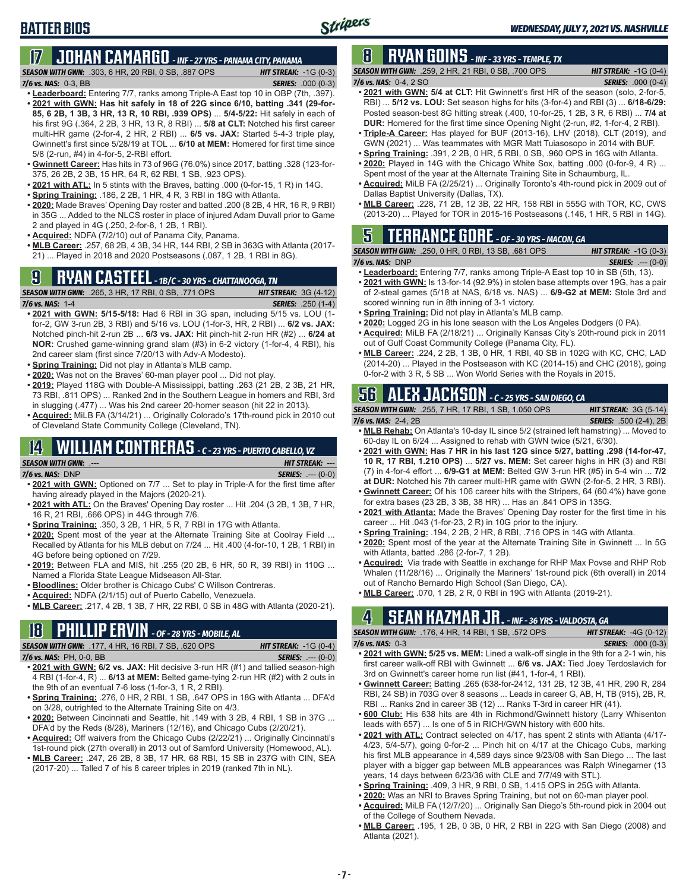#### **17 JOHAN CAMARGO** *- INF - 27 YRS - PANAMA CITY, PANAMA*

*SEASON WITH GWN:*.303, 6 HR, 20 RBI, 0 SB, .887 OPS *HIT STREAK:* -1G (0-3) *7/6 vs. NAS:* 0-3, BB *SERIES:* .000 (0-3)

**• Leaderboard:** Entering 7/7, ranks among Triple-A East top 10 in OBP (7th, .397). **• 2021 with GWN: Has hit safely in 18 of 22G since 6/10, batting .341 (29-for-85, 6 2B, 1 3B, 3 HR, 13 R, 10 RBI, .939 OPS)** ... **5/4-5/22:** Hit safely in each of his first 9G (.364, 2 2B, 3 HR, 13 R, 8 RBI) ... **5/8 at CLT:** Notched his first career multi-HR game (2-for-4, 2 HR, 2 RBI) ... **6/5 vs. JAX:** Started 5-4-3 triple play, Gwinnett's first since 5/28/19 at TOL ... **6/10 at MEM:** Homered for first time since 5/8 (2-run, #4) in 4-for-5, 2-RBI effort.

- **• Gwinnett Career:** Has hits in 73 of 96G (76.0%) since 2017, batting .328 (123-for-375, 26 2B, 2 3B, 15 HR, 64 R, 62 RBI, 1 SB, .923 OPS).
- **• 2021 with ATL:** In 5 stints with the Braves, batting .000 (0-for-15, 1 R) in 14G.
- **• Spring Training:** .186, 2 2B, 1 HR, 4 R, 3 RBI in 18G with Atlanta.
- **• 2020:** Made Braves' Opening Day roster and batted .200 (8 2B, 4 HR, 16 R, 9 RBI) in 35G ... Added to the NLCS roster in place of injured Adam Duvall prior to Game 2 and played in 4G (.250, 2-for-8, 1 2B, 1 RBI).
- **• Acquired:** NDFA (7/2/10) out of Panama City, Panama.
- **• MLB Career:** .257, 68 2B, 4 3B, 34 HR, 144 RBI, 2 SB in 363G with Atlanta (2017- 21) ... Played in 2018 and 2020 Postseasons (.087, 1 2B, 1 RBI in 8G).

# **9 RYAN CASTEEL** *- 1B/C - 30 YRS - CHATTANOOGA, TN*



- **• 2021 with GWN: 5/15-5/18:** Had 6 RBI in 3G span, including 5/15 vs. LOU (1 for-2, GW 3-run 2B, 3 RBI) and 5/16 vs. LOU (1-for-3, HR, 2 RBI) ... **6/2 vs. JAX:** Notched pinch-hit 2-run 2B ... **6/3 vs. JAX:** Hit pinch-hit 2-run HR (#2) ... **6/24 at NOR:** Crushed game-winning grand slam (#3) in 6-2 victory (1-for-4, 4 RBI), his 2nd career slam (first since 7/20/13 with Adv-A Modesto).
- **• Spring Training:** Did not play in Atlanta's MLB camp.
- **• 2020:** Was not on the Braves' 60-man player pool ... Did not play.
- **• 2019:** Played 118G with Double-A Mississippi, batting .263 (21 2B, 2 3B, 21 HR, 73 RBI, .811 OPS) ... Ranked 2nd in the Southern League in homers and RBI, 3rd in slugging (.477) ... Was his 2nd career 20-homer season (hit 22 in 2013).
- **• Acquired:** MiLB FA (3/14/21) ... Originally Colorado's 17th-round pick in 2010 out of Cleveland State Community College (Cleveland, TN).

# **14 WILLIAM CONTRERAS** *- C - 23 YRS - PUERTO CABELLO, VZ*

| <b>SEASON WITH GWN:</b> .--- |  |
|------------------------------|--|
| $7/6$ vs. NAS: DNP           |  |
|                              |  |

- **• 2021 with GWN:** Optioned on 7/7 ... Set to play in Triple-A for the first time after having already played in the Majors (2020-21).
- **• 2021 with ATL:** On the Braves' Opening Day roster ... Hit .204 (3 2B, 1 3B, 7 HR, 16 R, 21 RBI, .666 OPS) in 44G through 7/6.
- **• Spring Training:** .350, 3 2B, 1 HR, 5 R, 7 RBI in 17G with Atlanta.
- **• 2020:** Spent most of the year at the Alternate Training Site at Coolray Field ... Recalled by Atlanta for his MLB debut on 7/24 ... Hit .400 (4-for-10, 1 2B, 1 RBI) in 4G before being optioned on 7/29.
- **• 2019:** Between FLA and MIS, hit .255 (20 2B, 6 HR, 50 R, 39 RBI) in 110G ... Named a Florida State League Midseason All-Star.
- **• Bloodlines:** Older brother is Chicago Cubs' C Willson Contreras.
- **• Acquired:** NDFA (2/1/15) out of Puerto Cabello, Venezuela.
- **• MLB Career:** .217, 4 2B, 1 3B, 7 HR, 22 RBI, 0 SB in 48G with Atlanta (2020-21).

# **18 PHILLIP ERVIN** *- OF - 28 YRS - MOBILE, AL*

*SEASON WITH GWN:*.177, 4 HR, 16 RBI, 7 SB, .620 OPS *HIT STREAK:* -1G (0-4)

- *7/6 vs. NAS:*PH, 0-0, BB *SERIES:* .--- (0-0)
- **• 2021 with GWN: 6/2 vs. JAX:** Hit decisive 3-run HR (#1) and tallied season-high 4 RBI (1-for-4, R) ... **6/13 at MEM:** Belted game-tying 2-run HR (#2) with 2 outs in the 9th of an eventual 7-6 loss (1-for-3, 1 R, 2 RBI).
- **• Spring Training:** .276, 0 HR, 2 RBI, 1 SB, .647 OPS in 18G with Atlanta ... DFA'd on 3/28, outrighted to the Alternate Training Site on 4/3.
- **• 2020:** Between Cincinnati and Seattle, hit .149 with 3 2B, 4 RBI, 1 SB in 37G ... DFA'd by the Reds (8/28), Mariners (12/16), and Chicago Cubs (2/20/21).
- **• Acquired:** Off waivers from the Chicago Cubs (2/22/21) ... Originally Cincinnati's 1st-round pick (27th overall) in 2013 out of Samford University (Homewood, AL).
- **• MLB Career:** .247, 26 2B, 8 3B, 17 HR, 68 RBI, 15 SB in 237G with CIN, SEA (2017-20) ... Talled 7 of his 8 career triples in 2019 (ranked 7th in NL).

# **8 RYAN GOINS** *- INF - 33 YRS - TEMPLE, TX*

*SEASON WITH GWN:*.259, 2 HR, 21 RBI, 0 SB, .700 OPS *HIT STREAK:* -1G (0-4) *7/6 vs. NAS:*0-4, 2 SO *SERIES:* .000 (0-4)

- **• 2021 with GWN: 5/4 at CLT:** Hit Gwinnett's first HR of the season (solo, 2-for-5, RBI) ... **5/12 vs. LOU:** Set season highs for hits (3-for-4) and RBI (3) ... **6/18-6/29:** Posted season-best 8G hitting streak (.400, 10-for-25, 1 2B, 3 R, 6 RBI) ... **7/4 at DUR:** Homered for the first time since Opening Night (2-run, #2, 1-for-4, 2 RBI).
- **• Triple-A Career:** Has played for BUF (2013-16), LHV (2018), CLT (2019), and GWN (2021) ... Was teammates with MGR Matt Tuiasosopo in 2014 with BUF.
- **• Spring Training:** .391, 2 2B, 0 HR, 5 RBI, 0 SB, .960 OPS in 16G with Atlanta.
- **• 2020:** Played in 14G with the Chicago White Sox, batting .000 (0-for-9, 4 R) ... Spent most of the year at the Alternate Training Site in Schaumburg, IL.
- **• Acquired:** MiLB FA (2/25/21) ... Originally Toronto's 4th-round pick in 2009 out of Dallas Baptist University (Dallas, TX).
- **• MLB Career:** .228, 71 2B, 12 3B, 22 HR, 158 RBI in 555G with TOR, KC, CWS (2013-20) ... Played for TOR in 2015-16 Postseasons (.146, 1 HR, 5 RBI in 14G).

# **5 TERRANCE GORE** *- OF - 30 YRS - MACON, GA*

*SEASON WITH GWN:*.250, 0 HR, 0 RBI, 13 SB, .681 OPS *HIT STREAK:* -1G (0-3) *7/6 vs. NAS:*DNP *SERIES:* .--- (0-0)

- **• Leaderboard:** Entering 7/7, ranks among Triple-A East top 10 in SB (5th, 13). **• 2021 with GWN:** Is 13-for-14 (92.9%) in stolen base attempts over 19G, has a pair of 2-steal games (5/18 at NAS, 6/18 vs. NAS) ... **6/9-G2 at MEM:** Stole 3rd and scored winning run in 8th inning of 3-1 victory.
- **• Spring Training:** Did not play in Atlanta's MLB camp.
- **• 2020:** Logged 2G in his lone season with the Los Angeles Dodgers (0 PA).
- **• Acquired:** MiLB FA (2/18/21) ... Originally Kansas City's 20th-round pick in 2011 out of Gulf Coast Community College (Panama City, FL).
- **• MLB Career:** .224, 2 2B, 1 3B, 0 HR, 1 RBI, 40 SB in 102G with KC, CHC, LAD (2014-20) ... Played in the Postseason with KC (2014-15) and CHC (2018), going 0-for-2 with 3 R, 5 SB ... Won World Series with the Royals in 2015.

# **56 ALEX JACKSON** *- C - 25 YRS - SAN DIEGO, CA*

| $7/6$ vs. NAS: $2-4$ , $2B$ | <b>SEASON WITH GWN:</b> .255. 7 HR. 17 RBI. 1 SB. 1.050 OPS | <b>HIT STREAK: <math>3G(5-14)</math></b> |
|-----------------------------|-------------------------------------------------------------|------------------------------------------|
|                             |                                                             | <b>SERIES:</b> .500 (2-4), 2B            |

- **• MLB Rehab:** On Atlanta's 10-day IL since 5/2 (strained left hamstring) ... Moved to 60-day IL on 6/24 ... Assigned to rehab with GWN twice (5/21, 6/30).
- **• 2021 with GWN: Has 7 HR in his last 12G since 5/27, batting .298 (14-for-47, 10 R, 17 RBI, 1.210 OPS)** ... **5/27 vs. MEM:** Set career highs in HR (3) and RBI (7) in 4-for-4 effort ... **6/9-G1 at MEM:** Belted GW 3-run HR (#5) in 5-4 win ... **7/2 at DUR:** Notched his 7th career multi-HR game with GWN (2-for-5, 2 HR, 3 RBI).
- **• Gwinnett Career:** Of his 106 career hits with the Stripers, 64 (60.4%) have gone for extra bases (23 2B, 3 3B, 38 HR) ... Has an .841 OPS in 135G.
- **• 2021 with Atlanta:** Made the Braves' Opening Day roster for the first time in his career ... Hit .043 (1-for-23, 2 R) in 10G prior to the injury.
- **• Spring Training:** .194, 2 2B, 2 HR, 8 RBI, .716 OPS in 14G with Atlanta.
- **• 2020:** Spent most of the year at the Alternate Training Site in Gwinnett ... In 5G with Atlanta, batted .286 (2-for-7, 1 2B).
- **• Acquired:** Via trade with Seattle in exchange for RHP Max Povse and RHP Rob Whalen (11/28/16) ... Originally the Mariners' 1st-round pick (6th overall) in 2014 out of Rancho Bernardo High School (San Diego, CA).
- **• MLB Career:** .070, 1 2B, 2 R, 0 RBI in 19G with Atlanta (2019-21).

## **4 SEAN KAZMAR JR.** *- INF - 36 YRS - VALDOSTA, GA*

|                      | <b>SEASON WITH GWN:</b> .176, 4 HR, 14 RBI, 1 SB, .572 OPS | <b>HIT STREAK:</b> $-4G(0-12)$ |
|----------------------|------------------------------------------------------------|--------------------------------|
| $7/6$ vs. NAS: $0-3$ |                                                            | <b>SERIES:</b> .000 (0-3)      |
| ---- - -- ----- ---- |                                                            | .                              |

- **• 2021 with GWN: 5/25 vs. MEM:** Lined a walk-off single in the 9th for a 2-1 win, his first career walk-off RBI with Gwinnett ... **6/6 vs. JAX:** Tied Joey Terdoslavich for 3rd on Gwinnett's career home run list (#41, 1-for-4, 1 RBI).
- **• Gwinnett Career:** Batting .265 (638-for-2412, 131 2B, 12 3B, 41 HR, 290 R, 284 RBI, 24 SB) in 703G over 8 seasons ... Leads in career G, AB, H, TB (915), 2B, R, RBI ... Ranks 2nd in career 3B (12) ... Ranks T-3rd in career HR (41).
- **• 600 Club:** His 638 hits are 4th in Richmond/Gwinnett history (Larry Whisenton leads with 657) ... Is one of 5 in RICH/GWN history with 600 hits.
- **• 2021 with ATL:** Contract selected on 4/17, has spent 2 stints with Atlanta (4/17- 4/23, 5/4-5/7), going 0-for-2 ... Pinch hit on 4/17 at the Chicago Cubs, marking his first MLB appearance in 4,589 days since 9/23/08 with San Diego ... The last player with a bigger gap between MLB appearances was Ralph Winegarner (13 years, 14 days between 6/23/36 with CLE and 7/7/49 with STL).
- **• Spring Training:** .409, 3 HR, 9 RBI, 0 SB, 1.415 OPS in 25G with Atlanta.
- **• 2020:** Was an NRI to Braves Spring Training, but not on 60-man player pool.
- **• Acquired:** MiLB FA (12/7/20) ... Originally San Diego's 5th-round pick in 2004 out
- of the College of Southern Nevada.
- **• MLB Career:** .195, 1 2B, 0 3B, 0 HR, 2 RBI in 22G with San Diego (2008) and Atlanta (2021).

*SEASON WITH GWN:*.--- *HIT STREAK:* --- *7/6 vs. NAS:*DNP *SERIES:* .--- (0-0)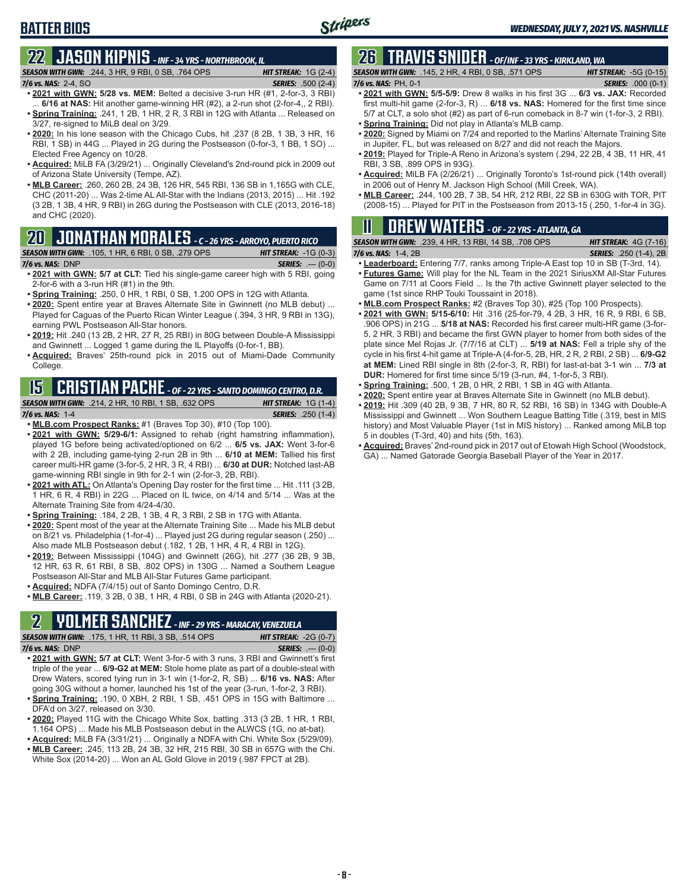#### **BATTER BIOS**

# **22 JASON KIPNIS** *- INF - 34 YRS - NORTHBROOK, IL*

*SEASON WITH GWN:*.244, 3 HR, 9 RBI, 0 SB, .764 OPS *HIT STREAK:* 1G (2-4) *7/6 vs. NAS:*2-4, SO *SERIES:* .500 (2-4)

- **• 2021 with GWN: 5/28 vs. MEM:** Belted a decisive 3-run HR (#1, 2-for-3, 3 RBI) ... **6/16 at NAS:** Hit another game-winning HR (#2), a 2-run shot (2-for-4,, 2 RBI). **• Spring Training:** .241, 1 2B, 1 HR, 2 R, 3 RBI in 12G with Atlanta ... Released on 3/27, re-signed to MiLB deal on 3/29.
- **• 2020:** In his lone season with the Chicago Cubs, hit .237 (8 2B, 1 3B, 3 HR, 16 RBI, 1 SB) in 44G ... Played in 2G during the Postseason (0-for-3, 1 BB, 1 SO) ... Elected Free Agency on 10/28.
- **• Acquired:** MiLB FA (3/29/21) ... Originally Cleveland's 2nd-round pick in 2009 out of Arizona State University (Tempe, AZ).
- **• MLB Career:** .260, 260 2B, 24 3B, 126 HR, 545 RBI, 136 SB in 1,165G with CLE, CHC (2011-20) ... Was 2-time AL All-Star with the Indians (2013, 2015) ... Hit .192 (3 2B, 1 3B, 4 HR, 9 RBI) in 26G during the Postseason with CLE (2013, 2016-18) and CHC (2020).

#### **20 JONATHAN MORALES** *- C - 26 YRS - ARROYO, PUERTO RICO*

#### *SEASON WITH GWN:*.105, 1 HR, 6 RBI, 0 SB, .279 OPS *HIT STREAK:* -1G (0-3)

*7/6 vs. NAS:*DNP *SERIES:* .--- (0-0)

- **• 2021 with GWN: 5/7 at CLT:** Tied his single-game career high with 5 RBI, going 2-for-6 with a 3-run HR (#1) in the 9th.
- **• Spring Training:** .250, 0 HR, 1 RBI, 0 SB, 1.200 OPS in 12G with Atlanta.
- **• 2020:** Spent entire year at Braves Alternate Site in Gwinnett (no MLB debut) ... Played for Caguas of the Puerto Rican Winter League (.394, 3 HR, 9 RBI in 13G), earning PWL Postseason All-Star honors.
- **• 2019:** Hit .240 (13 2B, 2 HR, 27 R, 25 RBI) in 80G between Double-A Mississippi and Gwinnett ... Logged 1 game during the IL Playoffs (0-for-1, BB).
- **• Acquired:** Braves' 25th-round pick in 2015 out of Miami-Dade Community College.

# **15 CRISTIAN PACHE** *- OF - 22 YRS - SANTO DOMINGO CENTRO, D.R.*

#### *SEASON WITH GWN:*.214, 2 HR, 10 RBI, 1 SB, .632 OPS *HIT STREAK:* 1G (1-4) *7/6 vs. NAS:* 1-4 *SERIES:* .250 (1-4)

- **• MLB.com Prospect Ranks:** #1 (Braves Top 30), #10 (Top 100).
- **• 2021 with GWN: 5/29-6/1:** Assigned to rehab (right hamstring inflammation), played 1G before being activated/optioned on 6/2 ... **6/5 vs. JAX:** Went 3-for-6 with 2 2B, including game-tying 2-run 2B in 9th ... **6/10 at MEM:** Tallied his first career multi-HR game (3-for-5, 2 HR, 3 R, 4 RBI) ... **6/30 at DUR:** Notched last-AB game-winning RBI single in 9th for 2-1 win (2-for-3, 2B, RBI).
- **• 2021 with ATL:** On Atlanta's Opening Day roster for the first time ... Hit .111 (3 2B, 1 HR, 6 R, 4 RBI) in 22G ... Placed on IL twice, on 4/14 and 5/14 ... Was at the Alternate Training Site from 4/24-4/30.
- **• Spring Training:** .184, 2 2B, 1 3B, 4 R, 3 RBI, 2 SB in 17G with Atlanta.
- **• 2020:** Spent most of the year at the Alternate Training Site ... Made his MLB debut on 8/21 vs. Philadelphia (1-for-4) ... Played just 2G during regular season (.250) ... Also made MLB Postseason debut (.182, 1 2B, 1 HR, 4 R, 4 RBI in 12G).
- **• 2019:** Between Mississippi (104G) and Gwinnett (26G), hit .277 (36 2B, 9 3B, 12 HR, 63 R, 61 RBI, 8 SB, .802 OPS) in 130G ... Named a Southern League Postseason All-Star and MLB All-Star Futures Game participant.
- **• Acquired:** NDFA (7/4/15) out of Santo Domingo Centro, D.R.
- **• MLB Career:** .119, 3 2B, 0 3B, 1 HR, 4 RBI, 0 SB in 24G with Atlanta (2020-21).

## **2 YOLMER SANCHEZ** *- INF - 29 YRS - MARACAY, VENEZUELA*

**• 2021 with GWN: 5/7 at CLT:** Went 3-for-5 with 3 runs, 3 RBI and Gwinnett's first triple of the year ... **6/9-G2 at MEM:** Stole home plate as part of a double-steal with

- Drew Waters, scored tying run in 3-1 win (1-for-2, R, SB) ... **6/16 vs. NAS:** After going 30G without a homer, launched his 1st of the year (3-run, 1-for-2, 3 RBI). **• Spring Training:** .190, 0 XBH, 2 RBI, 1 SB, .451 OPS in 15G with Baltimore ...
- DFA'd on 3/27, released on 3/30. **• 2020:** Played 11G with the Chicago White Sox, batting .313 (3 2B, 1 HR, 1 RBI,
- 1.164 OPS) ... Made his MLB Postseason debut in the ALWCS (1G, no at-bat).
- **• Acquired:** MiLB FA (3/31/21) ... Originally a NDFA with Chi. White Sox (5/29/09). **• MLB Career:** .245, 113 2B, 24 3B, 32 HR, 215 RBI, 30 SB in 657G with the Chi. White Sox (2014-20) ... Won an AL Gold Glove in 2019 (.987 FPCT at 2B).

# **26 TRAVIS SNIDER** *- OF/INF - 33 YRS - KIRKLAND, WA*

*SEASON WITH GWN:*.145, 2 HR, 4 RBI, 0 SB, .571 OPS *HIT STREAK:* -5G (0-15) *7/6 vs. NAS:* PH, 0-1 *SERIES:* .000 (0-1)

- **• 2021 with GWN: 5/5-5/9:** Drew 8 walks in his first 3G ... **6/3 vs. JAX:** Recorded first multi-hit game (2-for-3, R) ... **6/18 vs. NAS:** Homered for the first time since 5/7 at CLT, a solo shot (#2) as part of 6-run comeback in 8-7 win (1-for-3, 2 RBI).
- **• Spring Training:** Did not play in Atlanta's MLB camp.
- **• 2020:** Signed by Miami on 7/24 and reported to the Marlins' Alternate Training Site in Jupiter, FL, but was released on 8/27 and did not reach the Majors.
- **• 2019:** Played for Triple-A Reno in Arizona's system (.294, 22 2B, 4 3B, 11 HR, 41 RBI, 3 SB, .899 OPS in 93G).
- **• Acquired:** MiLB FA (2/26/21) ... Originally Toronto's 1st-round pick (14th overall) in 2006 out of Henry M. Jackson High School (Mill Creek, WA).
- **• MLB Career:** .244, 100 2B, 7 3B, 54 HR, 212 RBI, 22 SB in 630G with TOR, PIT (2008-15) ... Played for PIT in the Postseason from 2013-15 (.250, 1-for-4 in 3G).

#### **11 Drew WATERS** *- OF - 22 YRS - ATLANTA, GA SEASON WITH GWN:*.239, 4 HR, 13 RBI, 14 SB, .708 OPS *HIT STREAK:* 4G (7-16)

| 7/6 vs. NAS: 1-4, 2B                                                             | <b>SERIES:</b> .250 (1-4), 2B |
|----------------------------------------------------------------------------------|-------------------------------|
| • Leaderboard: Entering 7/7, ranks among Triple-A East top 10 in SB (T-3rd, 14). |                               |

- **• Futures Game:** Will play for the NL Team in the 2021 SiriusXM All-Star Futures Game on 7/11 at Coors Field ... Is the 7th active Gwinnett player selected to the game (1st since RHP Touki Toussaint in 2018).
- **• MLB.com Prospect Ranks:** #2 (Braves Top 30), #25 (Top 100 Prospects).
- **• 2021 with GWN: 5/15-6/10:** Hit .316 (25-for-79, 4 2B, 3 HR, 16 R, 9 RBI, 6 SB, .906 OPS) in 21G ... **5/18 at NAS:** Recorded his first career multi-HR game (3-for-5, 2 HR, 3 RBI) and became the first GWN player to homer from both sides of the plate since Mel Rojas Jr. (7/7/16 at CLT) ... **5/19 at NAS:** Fell a triple shy of the cycle in his first 4-hit game at Triple-A (4-for-5, 2B, HR, 2 R, 2 RBI, 2 SB) ... **6/9-G2 at MEM:** Lined RBI single in 8th (2-for-3, R, RBI) for last-at-bat 3-1 win ... **7/3 at DUR:** Homered for first time since 5/19 (3-run, #4, 1-for-5, 3 RBI).
- **• Spring Training:** .500, 1 2B, 0 HR, 2 RBI, 1 SB in 4G with Atlanta.
- **• 2020:** Spent entire year at Braves Alternate Site in Gwinnett (no MLB debut).
- **• 2019:** Hit .309 (40 2B, 9 3B, 7 HR, 80 R, 52 RBI, 16 SB) in 134G with Double-A Mississippi and Gwinnett ... Won Southern League Batting Title (.319, best in MIS history) and Most Valuable Player (1st in MIS history) ... Ranked among MiLB top 5 in doubles (T-3rd, 40) and hits (5th, 163).
- **• Acquired:** Braves' 2nd-round pick in 2017 out of Etowah High School (Woodstock, GA) ... Named Gatorade Georgia Baseball Player of the Year in 2017.

*SEASON WITH GWN:*.175, 1 HR, 11 RBI, 3 SB, .514 OPS *HIT STREAK:* -2G (0-7) *7/6 vs. NAS:*DNP *SERIES:* .--- (0-0)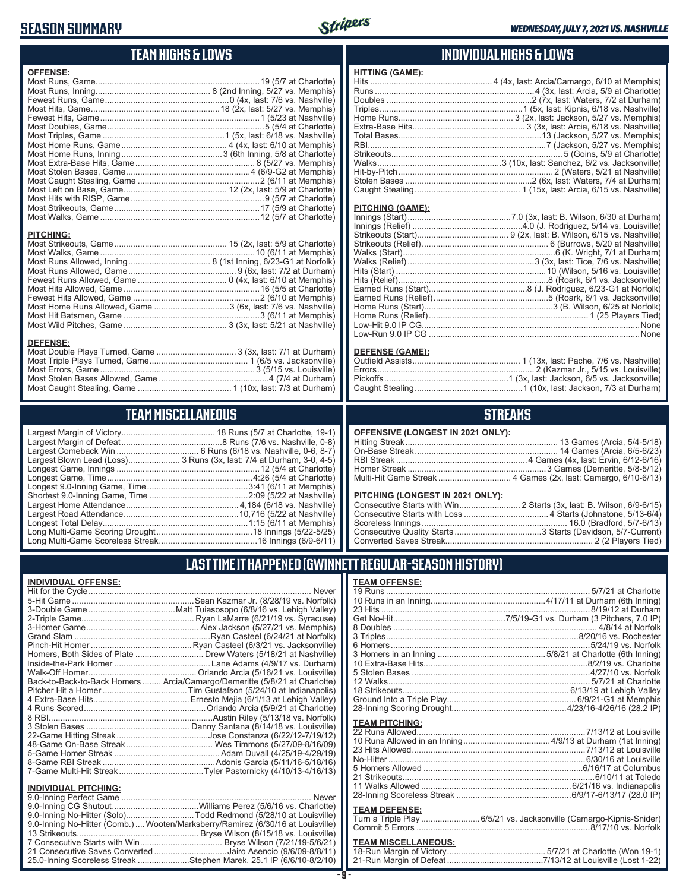## **SEASON SUMMARY**



# **TEAM HIGHS & LOWS**

| <b>OFFENSE:</b>  |  |
|------------------|--|
|                  |  |
|                  |  |
|                  |  |
|                  |  |
|                  |  |
|                  |  |
|                  |  |
|                  |  |
|                  |  |
|                  |  |
|                  |  |
|                  |  |
|                  |  |
|                  |  |
|                  |  |
|                  |  |
|                  |  |
| <b>PITCHING:</b> |  |
|                  |  |
|                  |  |

| Most Home Runs Allowed, Game 3 (6x, last: 7/6 vs. Nashville) |  |
|--------------------------------------------------------------|--|
|                                                              |  |
|                                                              |  |
|                                                              |  |

#### **DEFENSE:**

# **TEAM MISCELLANEOUS**

| Largest Blown Lead (Loss) 3 Runs (3x, last: 7/4 at Durham, 3-0, 4-5) |
|----------------------------------------------------------------------|
|                                                                      |
| Longest Game, Time……………………………………………………4:26 (5/4 at Charlotte)        |
|                                                                      |
|                                                                      |
|                                                                      |
|                                                                      |
|                                                                      |
|                                                                      |
|                                                                      |
|                                                                      |

#### **INDIVIDUAL HIGHS & LOWS**

| <b>HITTING (GAME):</b> |  |
|------------------------|--|
|                        |  |
|                        |  |
|                        |  |
|                        |  |
|                        |  |
|                        |  |
|                        |  |
|                        |  |
|                        |  |
|                        |  |
|                        |  |
|                        |  |
|                        |  |
|                        |  |

#### **PITCHING (GAME):**

#### **DEFENSE (GAME):**

#### **STREAKS**

|  |  | OFFENSIVE (LONGEST IN 2021 ONLY): |
|--|--|-----------------------------------|
|--|--|-----------------------------------|

#### **PITCHING (LONGEST IN 2021 ONLY):**

# **LAST TIME IT HAPPENED (GWINNETT REGULAR-SEASON HISTORY)**

| <b>INDIVIDUAL OFFENSE:</b>  |                                                                            |
|-----------------------------|----------------------------------------------------------------------------|
|                             |                                                                            |
|                             |                                                                            |
|                             |                                                                            |
|                             |                                                                            |
|                             |                                                                            |
|                             |                                                                            |
|                             |                                                                            |
|                             | Homers, Both Sides of Plate  Drew Waters (5/18/21 at Nashville)            |
|                             |                                                                            |
|                             |                                                                            |
|                             | Back-to-Back-to-Back Homers  Arcia/Camargo/Demeritte (5/8/21 at Charlotte) |
|                             |                                                                            |
|                             |                                                                            |
|                             |                                                                            |
|                             |                                                                            |
|                             |                                                                            |
|                             |                                                                            |
|                             |                                                                            |
|                             |                                                                            |
|                             |                                                                            |
|                             |                                                                            |
|                             |                                                                            |
| <b>INDIVIDUAL PITCHING:</b> |                                                                            |
|                             |                                                                            |

| 9.0-Inning No-Hitter (Solo)Todd Redmond (5/28/10 at Louisville)                |  |
|--------------------------------------------------------------------------------|--|
| 9.0-Inning No-Hitter (Comb.) Wooten/Marksberry/Ramirez (6/30/16 at Louisville) |  |
|                                                                                |  |
|                                                                                |  |
| 21 Consecutive Saves Converted Jairo Asencio (9/6/09-8/8/11)                   |  |
| 25.0-Inning Scoreless Streak Stephen Marek, 25.1 IP (6/6/10-8/2/10)            |  |
|                                                                                |  |

#### **TEAM OFFENSE:**

| <b>TEAM PITCHING:</b> |                           |
|-----------------------|---------------------------|
|                       |                           |
|                       |                           |
|                       |                           |
|                       |                           |
|                       |                           |
| $24$ Ctriboouto       | $C/40/44 \text{ at } T_0$ |

#### **TEAM DEFENSE:**

| Turn a Triple Play 6/5/21 vs. Jacksonville (Camargo-Kipnis-Snider) |  |
|--------------------------------------------------------------------|--|
|                                                                    |  |

| <b>TEAM MISCELLANEOUS:</b> |  |
|----------------------------|--|
|                            |  |
|                            |  |